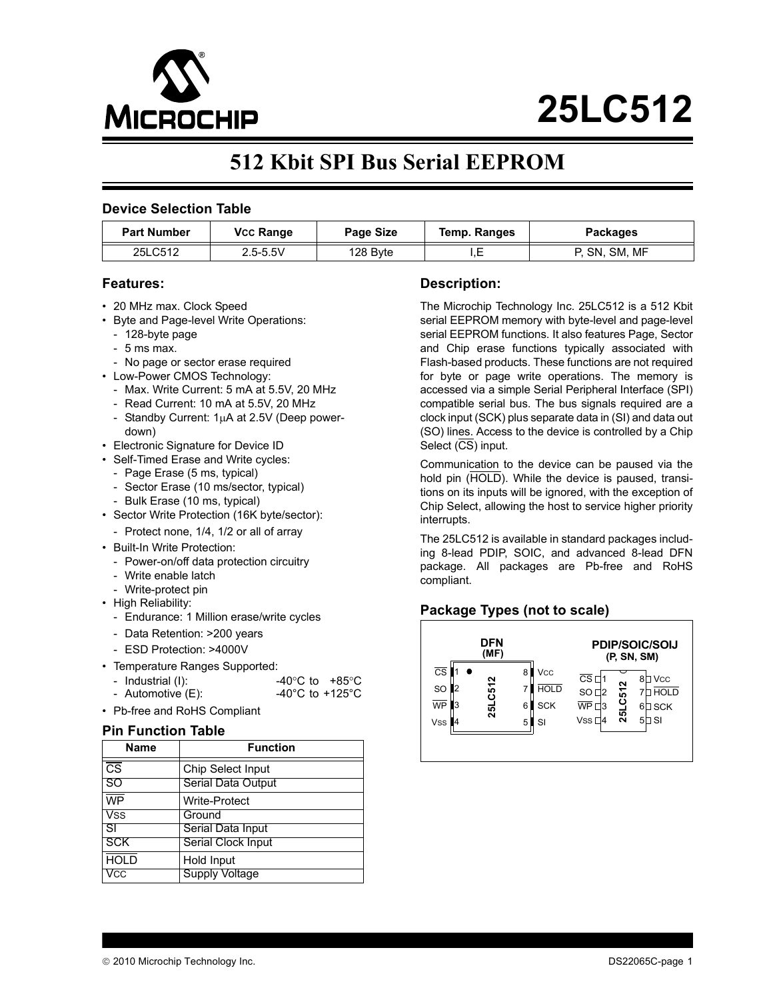

# **25LC512**

# **512 Kbit SPI Bus Serial EEPROM**

#### **Device Selection Table**

| <b>Part Number</b> | <b>Vcc Range</b> | Page Size | Temp. Ranges | Packages      |
|--------------------|------------------|-----------|--------------|---------------|
| 25LC512            | 2.5-5.5V         | 128 Byte  | ., <u>.</u>  | P. SN, SM, MF |

#### **Features:**

- 20 MHz max. Clock Speed
- Byte and Page-level Write Operations:
	- 128-byte page
	- $-5$  ms max.
	- No page or sector erase required
- Low-Power CMOS Technology:
	- Max. Write Current: 5 mA at 5.5V, 20 MHz
	- Read Current: 10 mA at 5.5V, 20 MHz
- Standby Current:  $1\mu A$  at 2.5V (Deep powerdown)
- Electronic Signature for Device ID
- Self-Timed Erase and Write cycles:
	- Page Erase (5 ms, typical)
	- Sector Erase (10 ms/sector, typical)
	- Bulk Erase (10 ms, typical)
- Sector Write Protection (16K byte/sector):
	- Protect none, 1/4, 1/2 or all of array
- Built-In Write Protection:
	- Power-on/off data protection circuitry
	- Write enable latch
	- Write-protect pin
- High Reliability:
	- Endurance: 1 Million erase/write cycles
	- Data Retention: >200 years
	- ESD Protection: >4000V
- Temperature Ranges Supported:
	- Industrial (I):  $-40^{\circ}$ C to  $+85^{\circ}$ C<br>- Automotive (E):  $-40^{\circ}$ C to  $+125^{\circ}$ C
	- Automotive  $(E)$ :
- Pb-free and RoHS Compliant

#### **Pin Function Table**

| <b>Name</b>            | <b>Function</b>           |  |  |  |
|------------------------|---------------------------|--|--|--|
| $\overline{\text{cs}}$ | Chip Select Input         |  |  |  |
| SO                     | <b>Serial Data Output</b> |  |  |  |
| $\overline{\text{WP}}$ | <b>Write-Protect</b>      |  |  |  |
| <b>Vss</b>             | Ground                    |  |  |  |
| SI                     | Serial Data Input         |  |  |  |
| <b>SCK</b>             | Serial Clock Input        |  |  |  |
| <b>HOLD</b>            | Hold Input                |  |  |  |
| VCC                    | Supply Voltage            |  |  |  |

#### **Description:**

The Microchip Technology Inc. 25LC512 is a 512 Kbit serial EEPROM memory with byte-level and page-level serial EEPROM functions. It also features Page, Sector and Chip erase functions typically associated with Flash-based products. These functions are not required for byte or page write operations. The memory is accessed via a simple Serial Peripheral Interface (SPI) compatible serial bus. The bus signals required are a clock input (SCK) plus separate data in (SI) and data out (SO) lines. Access to the device is controlled by a Chip Select  $(\overline{CS})$  input.

Communication to the device can be paused via the hold pin (HOLD). While the device is paused, transitions on its inputs will be ignored, with the exception of Chip Select, allowing the host to service higher priority interrupts.

The 25LC512 is available in standard packages including 8-lead PDIP, SOIC, and advanced 8-lead DFN package. All packages are Pb-free and RoHS compliant.

#### **Package Types (not to scale)**

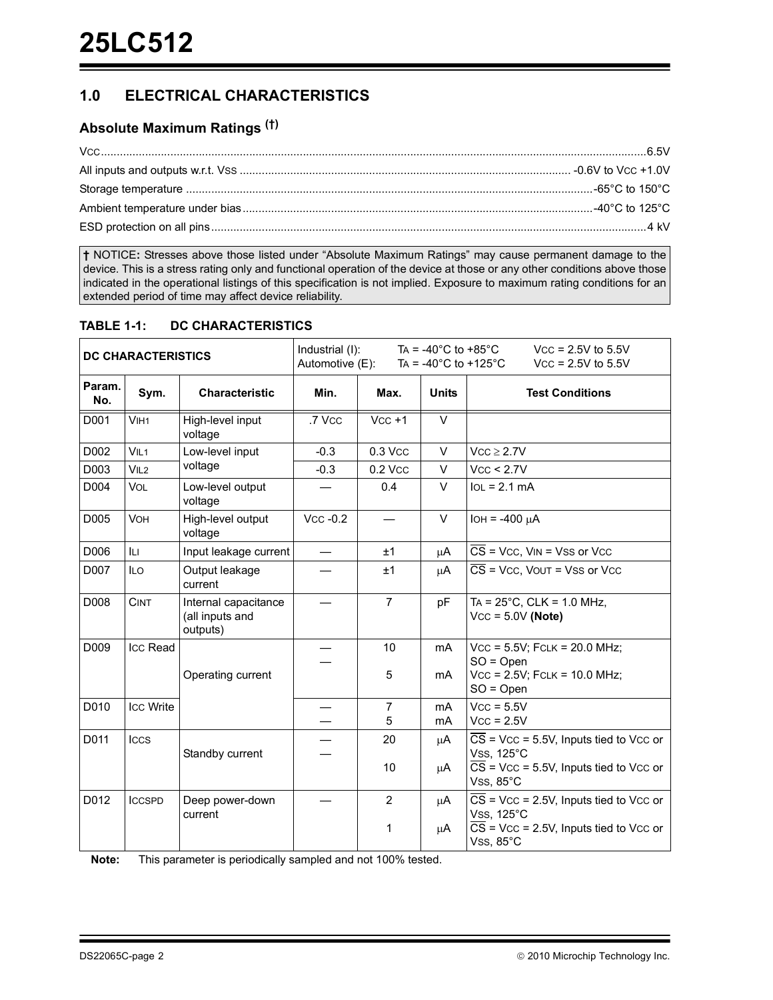### **1.0 ELECTRICAL CHARACTERISTICS**

### **Absolute Maximum Ratings (†)**

**†** NOTICE**:** Stresses above those listed under "Absolute Maximum Ratings" may cause permanent damage to the device. This is a stress rating only and functional operation of the device at those or any other conditions above those indicated in the operational listings of this specification is not implied. Exposure to maximum rating conditions for an extended period of time may affect device reliability.

### **TABLE 1-1: DC CHARACTERISTICS**

| <b>DC CHARACTERISTICS</b> |                  | TA = -40 $^{\circ}$ C to +85 $^{\circ}$ C<br>Industrial (I):<br>TA = $-40^{\circ}$ C to $+125^{\circ}$ C<br>Automotive (E): |            |                 | $Vcc = 2.5V$ to 5.5V<br>$Vcc = 2.5V$ to 5.5V |                                                                                |
|---------------------------|------------------|-----------------------------------------------------------------------------------------------------------------------------|------------|-----------------|----------------------------------------------|--------------------------------------------------------------------------------|
| Param.<br>No.             | Sym.             | <b>Characteristic</b>                                                                                                       | Min.       | Max.            | <b>Units</b>                                 | <b>Test Conditions</b>                                                         |
| D001                      | VIH <sub>1</sub> | High-level input<br>voltage                                                                                                 | .7 Vcc     | $VCC + 1$       | V                                            |                                                                                |
| D002                      | VIL1             | Low-level input                                                                                                             | $-0.3$     | $0.3$ Vcc       | V                                            | $Vcc \geq 2.7V$                                                                |
| D003                      | VIL2             | voltage                                                                                                                     | $-0.3$     | 0.2 Vcc         | V                                            | Vcc < 2.7V                                                                     |
| D004                      | <b>VOL</b>       | Low-level output<br>voltage                                                                                                 |            | 0.4             | V                                            | $IoL = 2.1 mA$                                                                 |
| D005                      | <b>VOH</b>       | High-level output<br>voltage                                                                                                | $Vcc -0.2$ | $\qquad \qquad$ | V                                            | $IOH = -400 \mu A$                                                             |
| D006                      | ILI.             | Input leakage current                                                                                                       |            | ±1              | μA                                           | $CS = Vcc$ , $VIN = VSS$ or $Vcc$                                              |
| D007                      | <b>ILO</b>       | Output leakage<br>current                                                                                                   |            | ±1              | μA                                           | $CS = Vcc$ , $V$ OUT = $V$ SS or $Vcc$                                         |
| D008                      | <b>CINT</b>      | Internal capacitance<br>(all inputs and<br>outputs)                                                                         |            | $\overline{7}$  | рF                                           | TA = $25^{\circ}$ C, CLK = 1.0 MHz,<br>$VCC = 5.0V (Note)$                     |
| D009                      | Icc Read         |                                                                                                                             |            | 10              | mA                                           | $VCC = 5.5V$ ; FCLK = 20.0 MHz;                                                |
|                           |                  | Operating current                                                                                                           |            | 5               | mA                                           | $SO = Open$<br>VCC = 2.5V; FCLK = 10.0 MHz;<br>$SO = Open$                     |
| D010                      | <b>Icc Write</b> |                                                                                                                             |            | $\overline{7}$  | mA                                           | $Vcc = 5.5V$                                                                   |
|                           |                  |                                                                                                                             |            | 5               | mA                                           | $Vcc = 2.5V$                                                                   |
| D011                      | <b>ICCS</b>      |                                                                                                                             |            | 20              | μA                                           | $\overline{CS}$ = Vcc = 5.5V, Inputs tied to Vcc or                            |
|                           |                  | Standby current                                                                                                             |            | 10              | μA                                           | Vss, 125°C<br>$\overline{CS}$ = Vcc = 5.5V, Inputs tied to Vcc or<br>Vss, 85°C |
| D012                      | <b>ICCSPD</b>    | Deep power-down<br>current                                                                                                  |            | $\overline{2}$  | μA                                           | $\overline{CS}$ = Vcc = 2.5V, Inputs tied to Vcc or<br>Vss, 125°C              |
|                           |                  |                                                                                                                             |            | 1               | μA                                           | $CS = Vcc = 2.5V$ , Inputs tied to Vcc or<br>Vss, 85°C                         |

<span id="page-1-0"></span>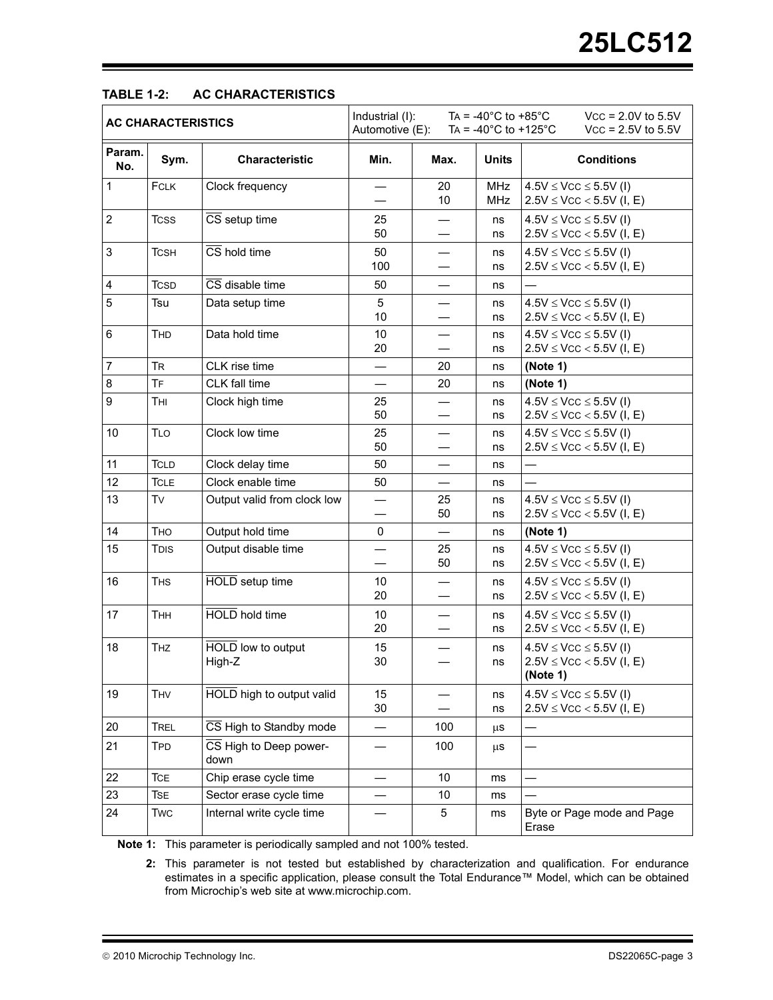|  | TABLE 1-2: | <b>AC CHARACTERISTICS</b> |
|--|------------|---------------------------|
|--|------------|---------------------------|

| <b>AC CHARACTERISTICS</b> |              | TA = $-40^{\circ}$ C to $+85^{\circ}$ C<br>Industrial (I):<br>Automotive (E):<br>TA = $-40^{\circ}$ C to $+125^{\circ}$ C |           |                                   | $Vcc = 2.0V$ to 5.5V<br>$Vcc = 2.5V$ to 5.5V |                                                                            |  |
|---------------------------|--------------|---------------------------------------------------------------------------------------------------------------------------|-----------|-----------------------------------|----------------------------------------------|----------------------------------------------------------------------------|--|
| Param.<br>No.             | Sym.         | <b>Characteristic</b>                                                                                                     | Min.      | Max.                              | <b>Units</b>                                 | <b>Conditions</b>                                                          |  |
| 1                         | <b>FCLK</b>  | Clock frequency                                                                                                           |           | 20<br>10                          | <b>MHz</b><br><b>MHz</b>                     | $4.5V \leq VCC \leq 5.5V$ (1)<br>$2.5V \leq VCC < 5.5V$ (I, E)             |  |
| $\overline{2}$            | <b>TCSS</b>  | $\overline{\text{CS}}$ setup time                                                                                         | 25<br>50  |                                   | ns<br>ns                                     | $4.5V \leq VCC \leq 5.5V$ (1)<br>$2.5V \leq VCC < 5.5V$ (I, E)             |  |
| 3                         | <b>TCSH</b>  | $\overline{\text{CS}}$ hold time                                                                                          | 50<br>100 |                                   | ns<br>ns                                     | $4.5V \leq VCC \leq 5.5V$ (1)<br>$2.5V \leq VCC < 5.5V$ (I, E)             |  |
| 4                         | <b>TCSD</b>  | CS disable time                                                                                                           | 50        | —                                 | ns                                           |                                                                            |  |
| 5                         | Tsu          | Data setup time                                                                                                           | 5<br>10   |                                   | ns<br>ns                                     | $4.5V \leq VCC \leq 5.5V$ (1)<br>$2.5V \leq VCC < 5.5V$ (I, E)             |  |
| 6                         | <b>THD</b>   | Data hold time                                                                                                            | 10<br>20  |                                   | ns<br>ns                                     | $4.5V \leq VCC \leq 5.5V$ (I)<br>$2.5V \leq VCC < 5.5V$ (I, E)             |  |
| $\overline{7}$            | <b>TR</b>    | CLK rise time                                                                                                             |           | 20                                | ns                                           | (Note 1)                                                                   |  |
| 8                         | <b>TF</b>    | CLK fall time                                                                                                             |           | 20                                | ns                                           | (Note 1)                                                                   |  |
| 9                         | <b>THI</b>   | Clock high time                                                                                                           | 25<br>50  |                                   | ns<br>ns                                     | $4.5V \leq VCC \leq 5.5V$ (1)<br>$2.5V \leq VCC < 5.5V$ (I, E)             |  |
| 10                        | TLO          | Clock low time                                                                                                            | 25<br>50  |                                   | ns<br>ns                                     | $4.5V \leq VCC \leq 5.5V$ (I)<br>$2.5V \leq VCC < 5.5V$ (I, E)             |  |
| 11                        | <b>TCLD</b>  | Clock delay time                                                                                                          | 50        |                                   | ns                                           |                                                                            |  |
| 12                        | <b>TCLE</b>  | Clock enable time                                                                                                         | 50        | $\overbrace{\phantom{123221111}}$ | ns                                           |                                                                            |  |
| 13                        | Tv           | Output valid from clock low                                                                                               |           | 25<br>50                          | ns<br>ns                                     | $4.5V \leq VCC \leq 5.5V$ (1)<br>$2.5V \leq VCC < 5.5V$ (I, E)             |  |
| 14                        | <b>THO</b>   | Output hold time                                                                                                          | 0         |                                   | ns                                           | (Note 1)                                                                   |  |
| 15                        | <b>T</b> DIS | Output disable time                                                                                                       |           | 25<br>50                          | ns<br>ns                                     | $4.5V \leq VCC \leq 5.5V$ (1)<br>$2.5V \leq VCC < 5.5V$ (I, E)             |  |
| 16                        | <b>THS</b>   | HOLD setup time                                                                                                           | 10<br>20  | —                                 | ns<br>ns                                     | $4.5V \leq VCC \leq 5.5V$ (I)<br>$2.5V \leq VCC < 5.5V$ (I, E)             |  |
| 17                        | <b>THH</b>   | HOLD hold time                                                                                                            | 10<br>20  |                                   | ns<br>ns                                     | $4.5V \leq VCC \leq 5.5V$ (I)<br>$2.5V \leq VCC < 5.5V$ (I, E)             |  |
| 18                        | <b>THZ</b>   | <b>HOLD</b> low to output<br>High-Z                                                                                       | 15<br>30  |                                   | ns<br>ns                                     | $4.5V \leq VCC \leq 5.5V$ (1)<br>$2.5V \leq VCC < 5.5V$ (I, E)<br>(Note 1) |  |
| 19                        | <b>THV</b>   | HOLD high to output valid                                                                                                 | 15<br>30  |                                   | ns<br>ns                                     | $4.5V \leq VCC \leq 5.5V$ (1)<br>$2.5V \leq VCC < 5.5V$ (I, E)             |  |
| 20                        | TREL         | CS High to Standby mode                                                                                                   |           | 100                               | μS                                           |                                                                            |  |
| 21                        | <b>TPD</b>   | CS High to Deep power-<br>down                                                                                            |           | 100                               | μS                                           |                                                                            |  |
| 22                        | <b>TCE</b>   | Chip erase cycle time                                                                                                     | —         | 10                                | ms                                           | $\overline{\phantom{0}}$                                                   |  |
| 23                        | <b>TSE</b>   | Sector erase cycle time                                                                                                   |           | 10                                | ms                                           |                                                                            |  |
| 24                        | <b>Twc</b>   | Internal write cycle time                                                                                                 |           | 5                                 | ms                                           | Byte or Page mode and Page<br>Erase                                        |  |

<span id="page-2-1"></span><span id="page-2-0"></span>**Note 1:** This parameter is periodically sampled and not 100% tested.

**2:** This parameter is not tested but established by characterization and qualification. For endurance estimates in a specific application, please consult the Total Endurance™ Model, which can be obtained from Microchip's web site at www.microchip.com.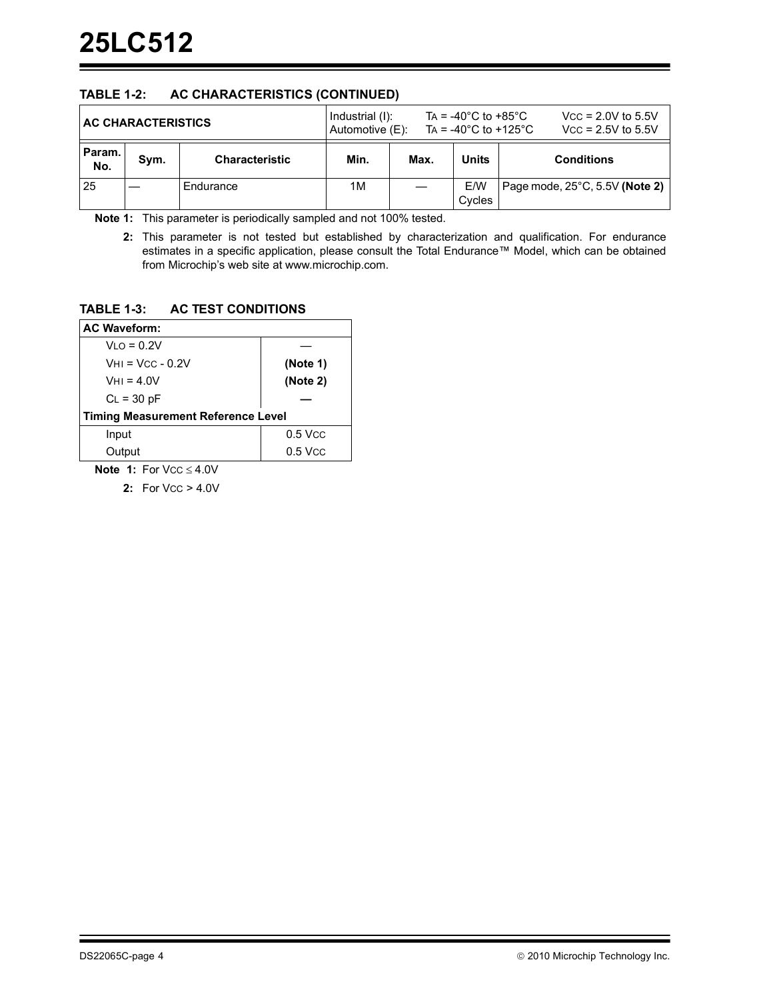### **TABLE 1-2: AC CHARACTERISTICS (CONTINUED)**

| <b>AC CHARACTERISTICS</b> |      |                       | TA = -40 $^{\circ}$ C to +85 $^{\circ}$ C<br>Industrial (I):<br>Automotive (E):<br>TA = -40 $^{\circ}$ C to +125 $^{\circ}$ C |      |               | $VCC = 2.0V$ to 5.5V<br>$Vcc = 2.5V$ to 5.5V |
|---------------------------|------|-----------------------|-------------------------------------------------------------------------------------------------------------------------------|------|---------------|----------------------------------------------|
| Param.<br>No.             | Svm. | <b>Characteristic</b> | Min.                                                                                                                          | Max. | <b>Units</b>  | <b>Conditions</b>                            |
| 25                        |      | Endurance             | 1M                                                                                                                            |      | E/W<br>Cycles | Page mode, 25°C, 5.5V (Note 2)               |

**Note 1:** This parameter is periodically sampled and not 100% tested.

**2:** This parameter is not tested but established by characterization and qualification. For endurance estimates in a specific application, please consult the Total Endurance™ Model, which can be obtained from Microchip's web site at www.microchip.com.

#### **TABLE 1-3: AC TEST CONDITIONS**

| <b>AC Waveform:</b>                       |            |  |  |  |
|-------------------------------------------|------------|--|--|--|
| $V_{1}$ $\cap$ = 0.2V                     |            |  |  |  |
| $VHI = VCC - 0.2V$                        | (Note 1)   |  |  |  |
| $VHI = 4.0V$                              | (Note 2)   |  |  |  |
| $CL = 30 pF$                              |            |  |  |  |
| <b>Timing Measurement Reference Level</b> |            |  |  |  |
| Input                                     | $0.5$ Vcc. |  |  |  |
| Output                                    | $0.5$ Vcc. |  |  |  |

<span id="page-3-1"></span><span id="page-3-0"></span>**Note 1:** For  $VCC \leq 4.0V$ 

**2:** For Vcc > 4.0V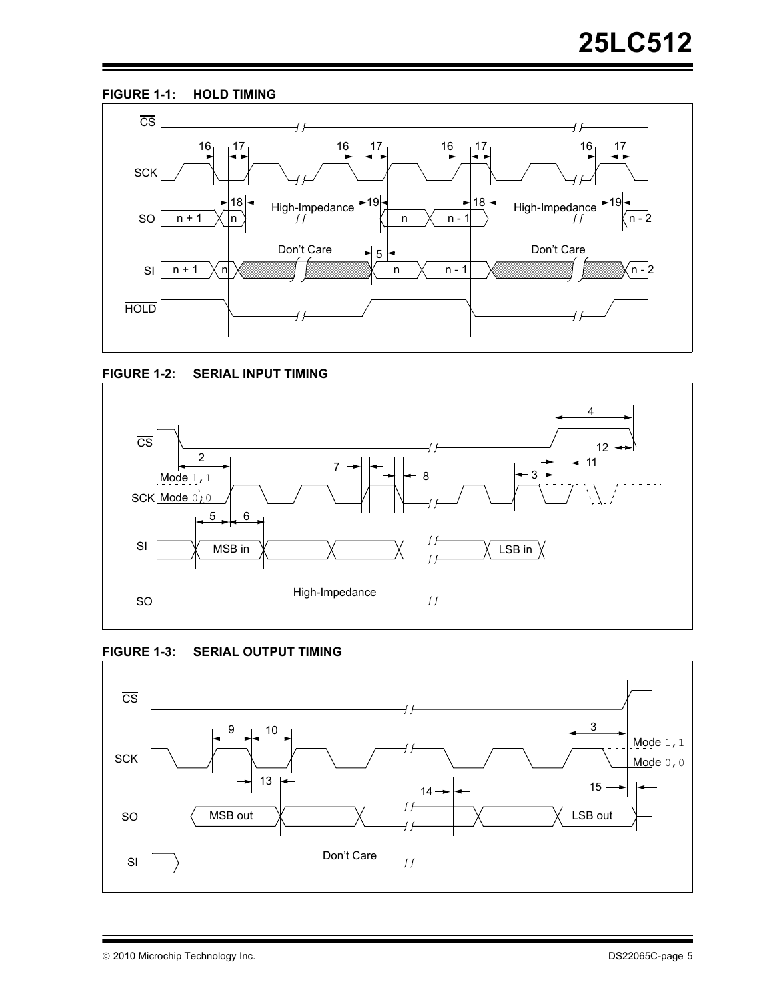#### **FIGURE 1-1: HOLD TIMING**



#### **FIGURE 1-2: SERIAL INPUT TIMING**



#### **FIGURE 1-3: SERIAL OUTPUT TIMING**

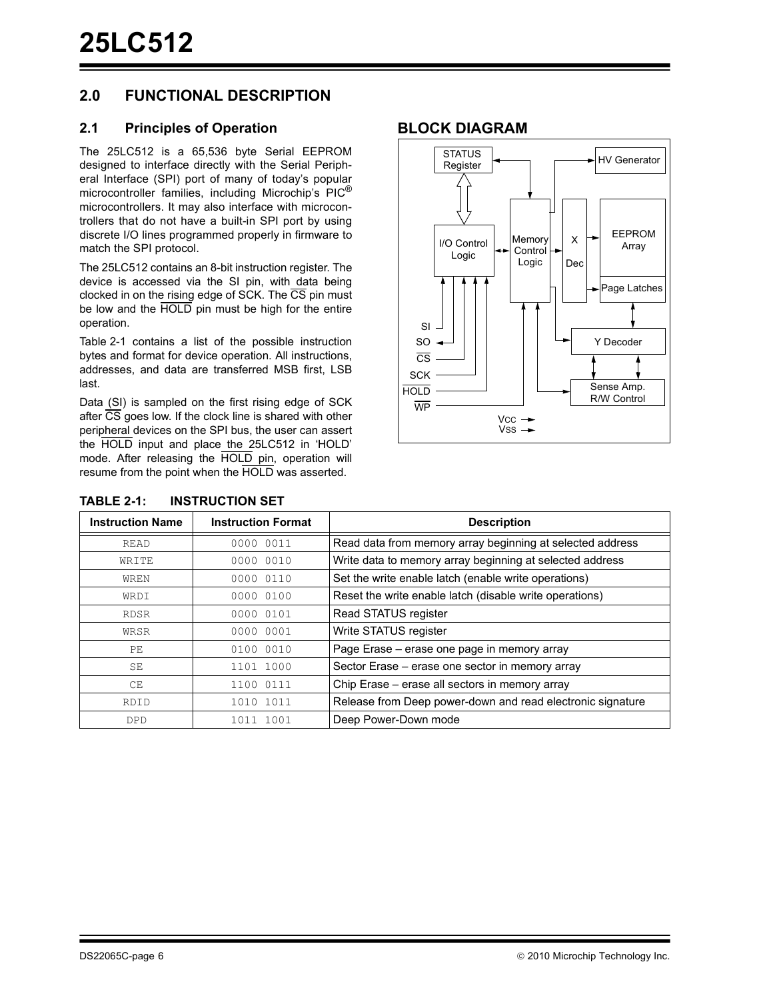### **2.0 FUNCTIONAL DESCRIPTION**

### **2.1 Principles of Operation**

The 25LC512 is a 65,536 byte Serial EEPROM designed to interface directly with the Serial Peripheral Interface (SPI) port of many of today's popular microcontroller families, including Microchip's PIC® microcontrollers. It may also interface with microcontrollers that do not have a built-in SPI port by using discrete I/O lines programmed properly in firmware to match the SPI protocol.

The 25LC512 contains an 8-bit instruction register. The device is accessed via the SI pin, with data being clocked in on the rising edge of SCK. The  $\overline{\text{CS}}$  pin must be low and the HOLD pin must be high for the entire operation.

[Table 2-1](#page-5-0) contains a list of the possible instruction bytes and format for device operation. All instructions, addresses, and data are transferred MSB first, LSB last.

Data (SI) is sampled on the first rising edge of SCK after  $\overline{CS}$  goes low. If the clock line is shared with other peripheral devices on the SPI bus, the user can assert the HOLD input and place the 25LC512 in 'HOLD' mode. After releasing the HOLD pin, operation will resume from the point when the HOLD was asserted.

#### <span id="page-5-0"></span>**TABLE 2-1: INSTRUCTION SET**

#### **BLOCK DIAGRAM**



| <b>Instruction Name</b> | <b>Instruction Format</b> | <b>Description</b>                                         |
|-------------------------|---------------------------|------------------------------------------------------------|
| <b>READ</b>             | 0000 0011                 | Read data from memory array beginning at selected address  |
| WRITE                   | 0000 0010                 | Write data to memory array beginning at selected address   |
| WREN                    | 0000 0110                 | Set the write enable latch (enable write operations)       |
| WRDI                    | 0000 0100                 | Reset the write enable latch (disable write operations)    |
| <b>RDSR</b>             | 0000 0101                 | Read STATUS register                                       |
| WRSR                    | 0000 0001                 | Write STATUS register                                      |
| PE                      | 0100 0010                 | Page Erase - erase one page in memory array                |
| SE                      | 1101 1000                 | Sector Erase – erase one sector in memory array            |
| CE.                     | 1100 0111                 | Chip Erase – erase all sectors in memory array             |
| <b>RDID</b>             | 1010 1011                 | Release from Deep power-down and read electronic signature |
| DPD.                    | 1011 1001                 | Deep Power-Down mode                                       |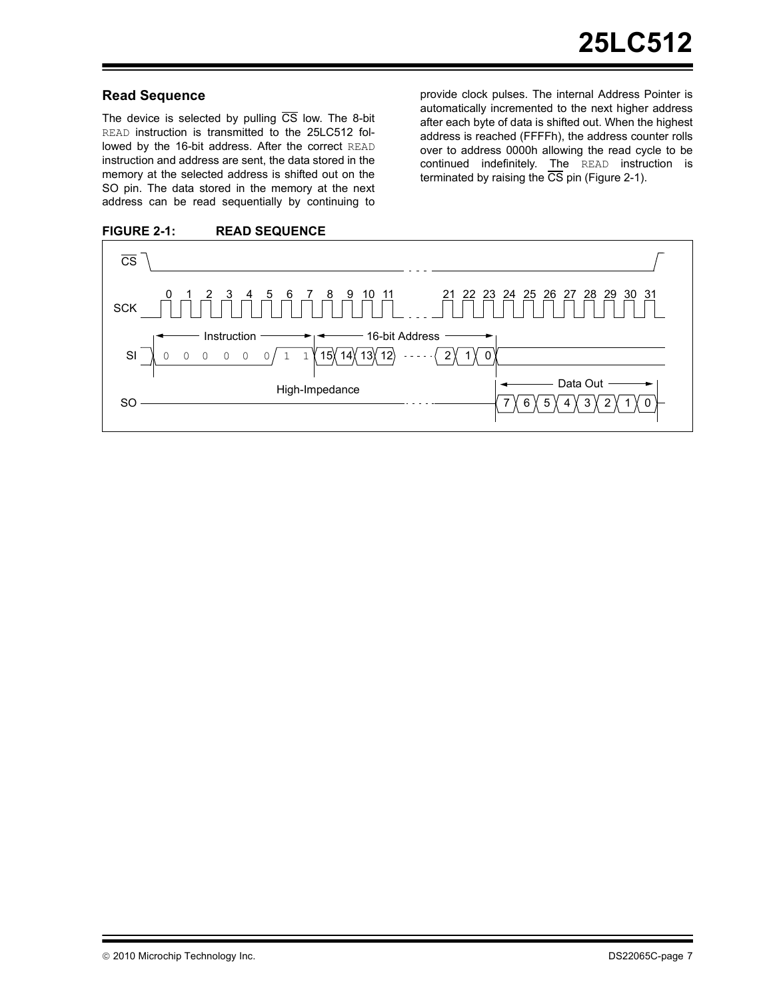provide clock pulses. The internal Address Pointer is automatically incremented to the next higher address after each byte of data is shifted out. When the highest address is reached (FFFFh), the address counter rolls over to address 0000h allowing the read cycle to be continued indefinitely. The READ instruction is

terminated by raising the  $\overline{CS}$  pin [\(Figure 2-1](#page-6-0)).

#### **Read Sequence**

The device is selected by pulling  $\overline{CS}$  low. The 8-bit READ instruction is transmitted to the 25LC512 followed by the 16-bit address. After the correct READ instruction and address are sent, the data stored in the memory at the selected address is shifted out on the SO pin. The data stored in the memory at the next address can be read sequentially by continuing to

<span id="page-6-0"></span>**FIGURE 2-1: READ SEQUENCE**

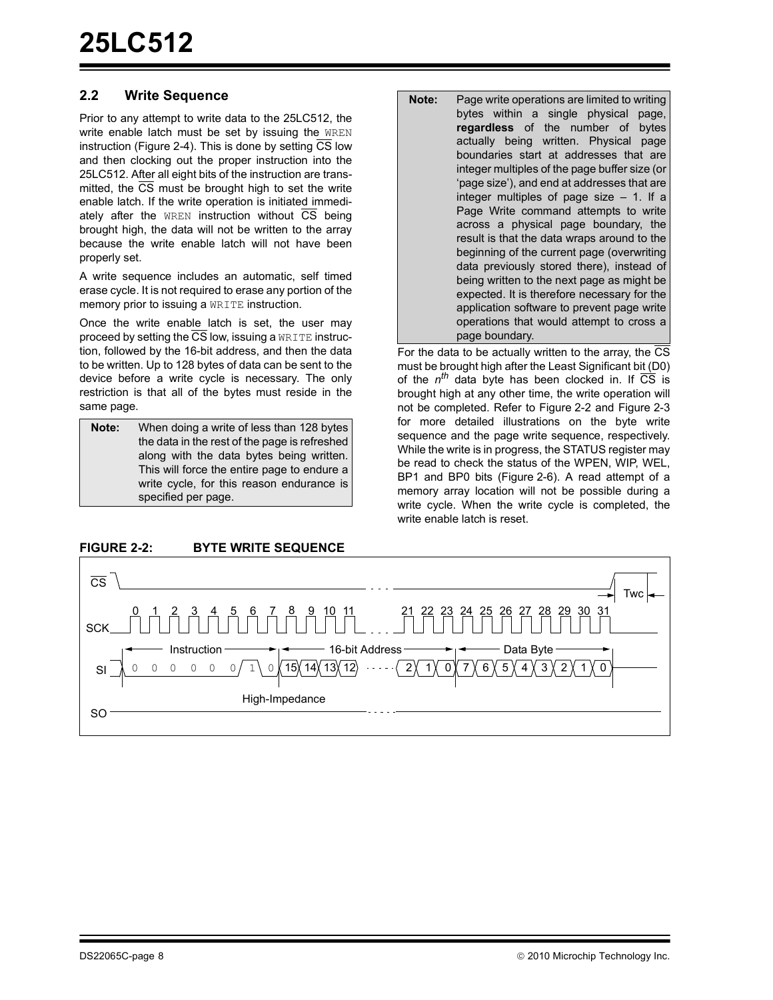### **2.2 Write Sequence**

Prior to any attempt to write data to the 25LC512, the write enable latch must be set by issuing the WREN instruction [\(Figure 2-4](#page-9-0)). This is done by setting  $\overline{CS}$  low and then clocking out the proper instruction into the 25LC512. After all eight bits of the instruction are transmitted, the  $\overline{CS}$  must be brought high to set the write enable latch. If the write operation is initiated immediately after the  $WREN$  instruction without  $\overline{CS}$  being brought high, the data will not be written to the array because the write enable latch will not have been properly set.

A write sequence includes an automatic, self timed erase cycle. It is not required to erase any portion of the memory prior to issuing a WRITE instruction.

Once the write enable latch is set, the user may proceed by setting the  $\overline{CS}$  low, issuing a WRITE instruction, followed by the 16-bit address, and then the data to be written. Up to 128 bytes of data can be sent to the device before a write cycle is necessary. The only restriction is that all of the bytes must reside in the same page.

- **Note:** When doing a write of less than 128 bytes the data in the rest of the page is refreshed along with the data bytes being written. This will force the entire page to endure a write cycle, for this reason endurance is specified per page.
- **Note:** Page write operations are limited to writing bytes within a single physical page, **regardless** of the number of bytes actually being written. Physical page boundaries start at addresses that are integer multiples of the page buffer size (or 'page size'), and end at addresses that are integer multiples of page size  $-1$ . If a Page Write command attempts to write across a physical page boundary, the result is that the data wraps around to the beginning of the current page (overwriting data previously stored there), instead of being written to the next page as might be expected. It is therefore necessary for the application software to prevent page write operations that would attempt to cross a page boundary.

For the data to be actually written to the array, the  $\overline{\text{CS}}$ must be brought high after the Least Significant bit (D0) of the  $n^{th}$  data byte has been clocked in. If  $\overline{CS}$  is brought high at any other time, the write operation will not be completed. Refer to [Figure 2-2](#page-7-0) and [Figure 2-3](#page-8-0) for more detailed illustrations on the byte write sequence and the page write sequence, respectively. While the write is in progress, the STATUS register may be read to check the status of the WPEN, WIP, WEL, BP1 and BP0 bits [\(Figure 2-6](#page-10-0)). A read attempt of a memory array location will not be possible during a write cycle. When the write cycle is completed, the write enable latch is reset.



### <span id="page-7-0"></span>**FIGURE 2-2: BYTE WRITE SEQUENCE**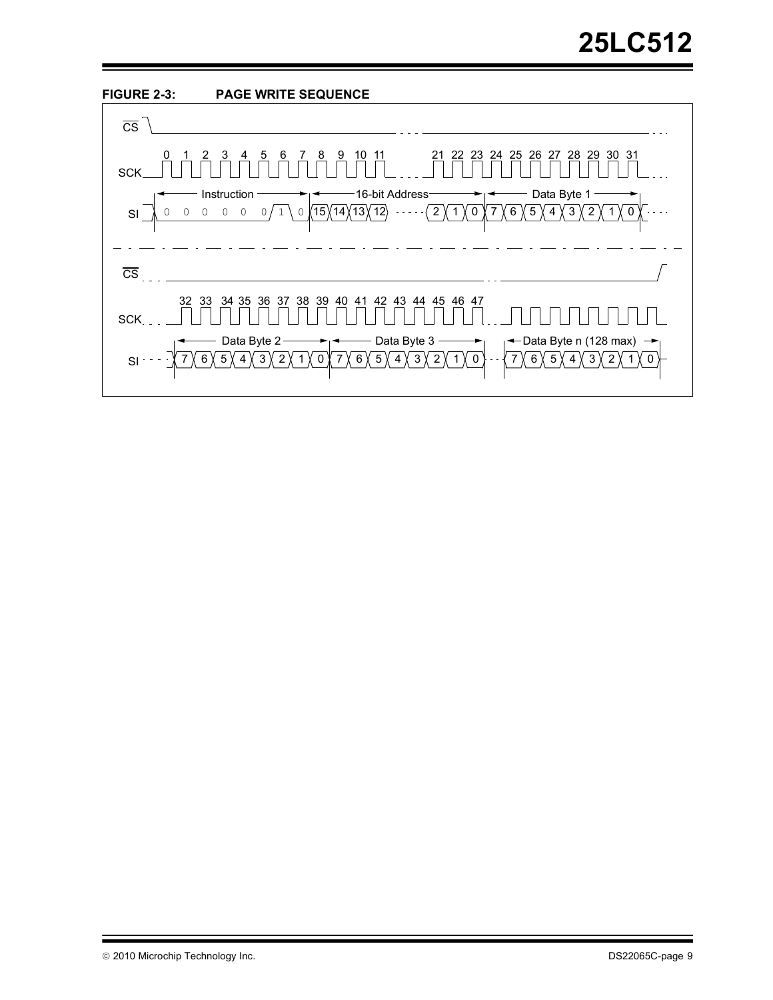<span id="page-8-0"></span>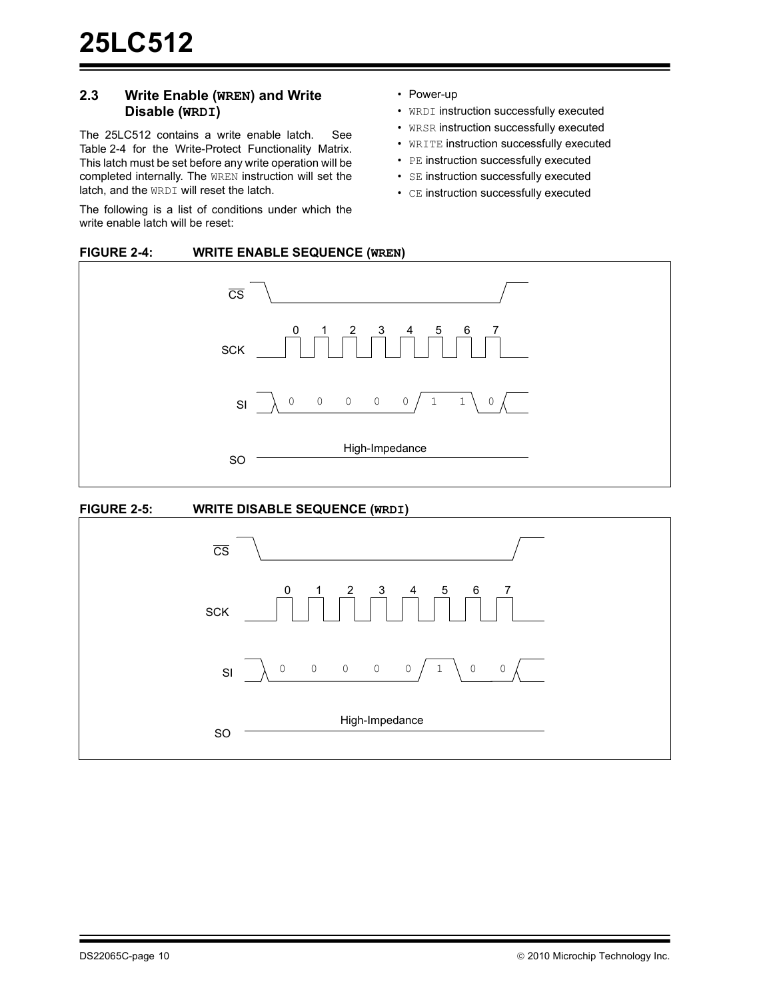#### **2.3 Write Enable (WREN) and Write Disable (WRDI)**

The 25LC512 contains a write enable latch. See [Table 2-4](#page-12-0) for the Write-Protect Functionality Matrix. This latch must be set before any write operation will be completed internally. The WREN instruction will set the latch, and the WRDI will reset the latch.

The following is a list of conditions under which the write enable latch will be reset:

#### • Power-up

- WRDI instruction successfully executed
- WRSR instruction successfully executed
- WRITE instruction successfully executed
- PE instruction successfully executed
- SE instruction successfully executed
- CE instruction successfully executed

<span id="page-9-0"></span>



<span id="page-9-1"></span>

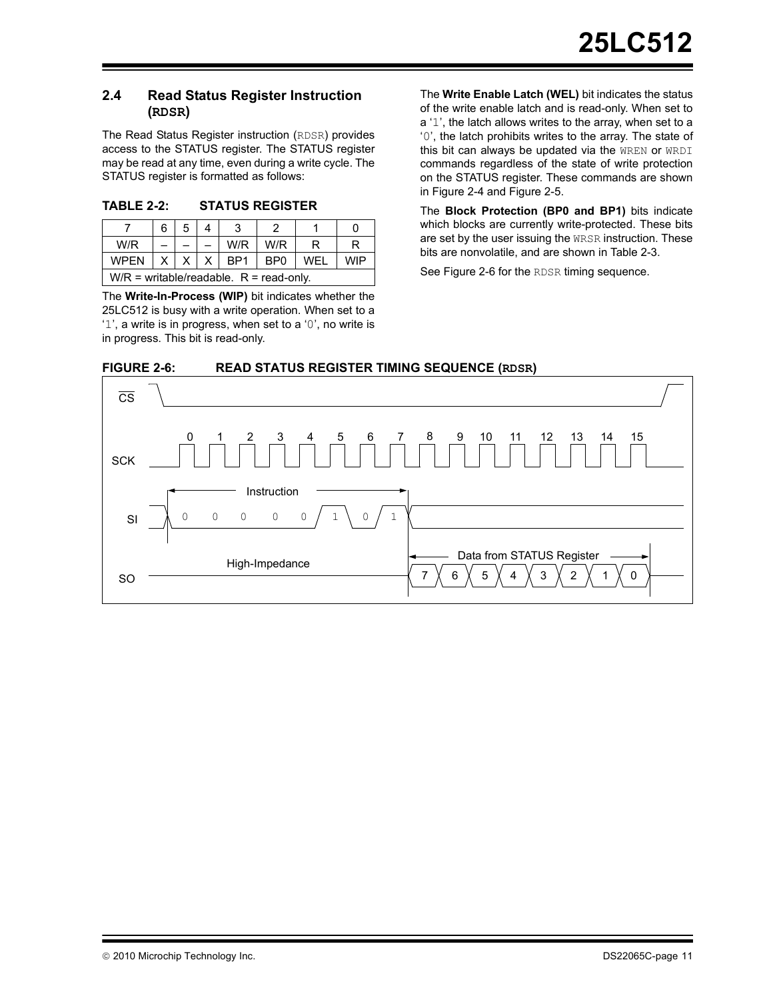#### **2.4 Read Status Register Instruction (RDSR)**

The Read Status Register instruction (RDSR) provides access to the STATUS register. The STATUS register may be read at any time, even during a write cycle. The STATUS register is formatted as follows:

<span id="page-10-1"></span>

| <b>TABLE 2-2:</b> | <b>STATUS REGISTER</b> |
|-------------------|------------------------|
|                   |                        |

|                                             | 6 |    |  |                 |                 |     |            |
|---------------------------------------------|---|----|--|-----------------|-----------------|-----|------------|
| W/R                                         |   |    |  | W/R             | W/R             |     |            |
| <b>WPFN</b>                                 |   | Y. |  | B <sub>P1</sub> | BP <sub>0</sub> | WEI | <b>MIP</b> |
| $W/R$ = writable/readable. $R$ = read-only. |   |    |  |                 |                 |     |            |

The **Write-In-Process (WIP)** bit indicates whether the 25LC512 is busy with a write operation. When set to a '1', a write is in progress, when set to a '0', no write is in progress. This bit is read-only.

The **Write Enable Latch (WEL)** bit indicates the status of the write enable latch and is read-only. When set to a '1', the latch allows writes to the array, when set to a '0', the latch prohibits writes to the array. The state of this bit can always be updated via the WREN or WRDI commands regardless of the state of write protection on the STATUS register. These commands are shown in [Figure 2-4](#page-9-0) and [Figure 2-5](#page-9-1).

The **Block Protection (BP0 and BP1)** bits indicate which blocks are currently write-protected. These bits are set by the user issuing the WRSR instruction. These bits are nonvolatile, and are shown in [Table 2-3.](#page-11-0)

See [Figure 2-6](#page-10-0) for the RDSR timing sequence.



#### <span id="page-10-0"></span>**FIGURE 2-6: READ STATUS REGISTER TIMING SEQUENCE (RDSR)**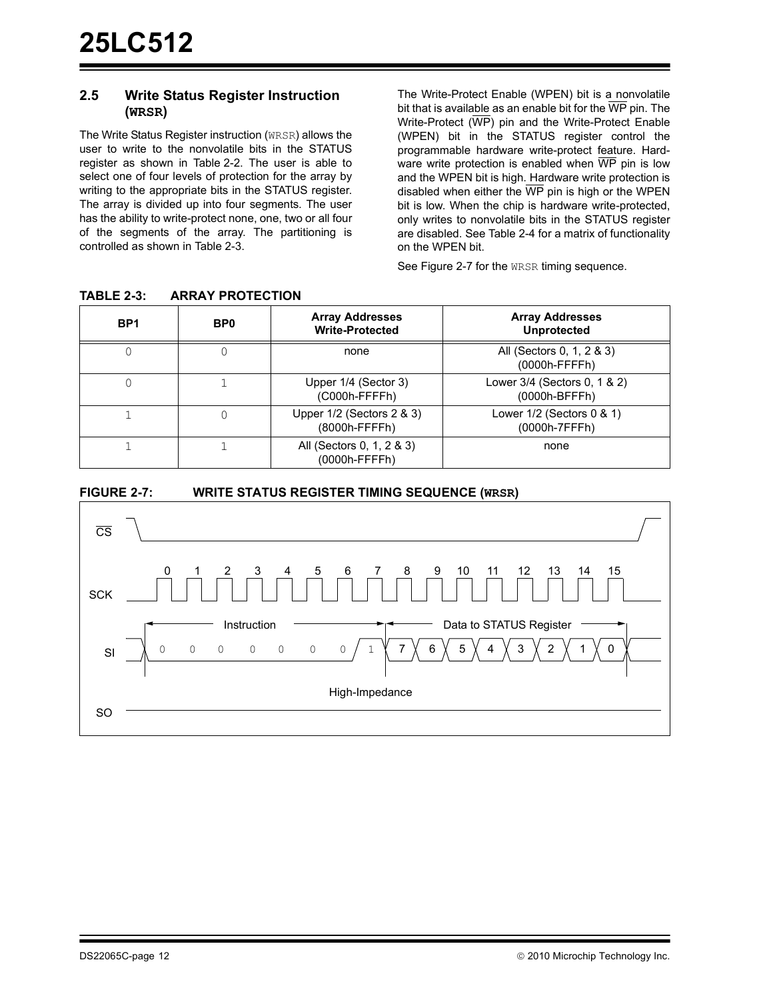#### **2.5 Write Status Register Instruction (WRSR)**

The Write Status Register instruction (WRSR) allows the user to write to the nonvolatile bits in the STATUS register as shown in [Table 2-2](#page-10-1). The user is able to select one of four levels of protection for the array by writing to the appropriate bits in the STATUS register. The array is divided up into four segments. The user has the ability to write-protect none, one, two or all four of the segments of the array. The partitioning is controlled as shown in [Table 2-3](#page-11-0).

The Write-Protect Enable (WPEN) bit is a nonvolatile bit that is available as an enable bit for the  $\overline{\text{WP}}$  pin. The Write-Protect (WP) pin and the Write-Protect Enable (WPEN) bit in the STATUS register control the programmable hardware write-protect feature. Hardware write protection is enabled when  $\overline{WP}$  pin is low and the WPEN bit is high. Hardware write protection is disabled when either the  $\overline{\text{WP}}$  pin is high or the WPEN bit is low. When the chip is hardware write-protected, only writes to nonvolatile bits in the STATUS register are disabled. See [Table 2-4](#page-12-0) for a matrix of functionality on the WPEN bit.

See [Figure 2-7](#page-11-1) for the WRSR timing sequence.

| BP <sub>1</sub> | B <sub>P0</sub> | <b>Array Addresses</b><br><b>Write-Protected</b> | <b>Array Addresses</b><br><b>Unprotected</b>     |
|-----------------|-----------------|--------------------------------------------------|--------------------------------------------------|
| U               |                 | none                                             | All (Sectors 0, 1, 2 & 3)<br>(0000h-FFFFh)       |
| 0               |                 | Upper 1/4 (Sector 3)<br>(C000h-FFFFh)            | Lower 3/4 (Sectors 0, 1 & 2)<br>(0000h-BFFFh)    |
|                 | 0               | Upper $1/2$ (Sectors $2 \& 3$ )<br>(8000h-FFFFh) | Lower $1/2$ (Sectors $0 \& 1$ )<br>(0000h-7FFFh) |
|                 |                 | All (Sectors 0, 1, 2 & 3)<br>(0000h-FFFFh)       | none                                             |

### <span id="page-11-0"></span>**TABLE 2-3: ARRAY PROTECTION**

#### <span id="page-11-1"></span>**FIGURE 2-7: WRITE STATUS REGISTER TIMING SEQUENCE (WRSR)**

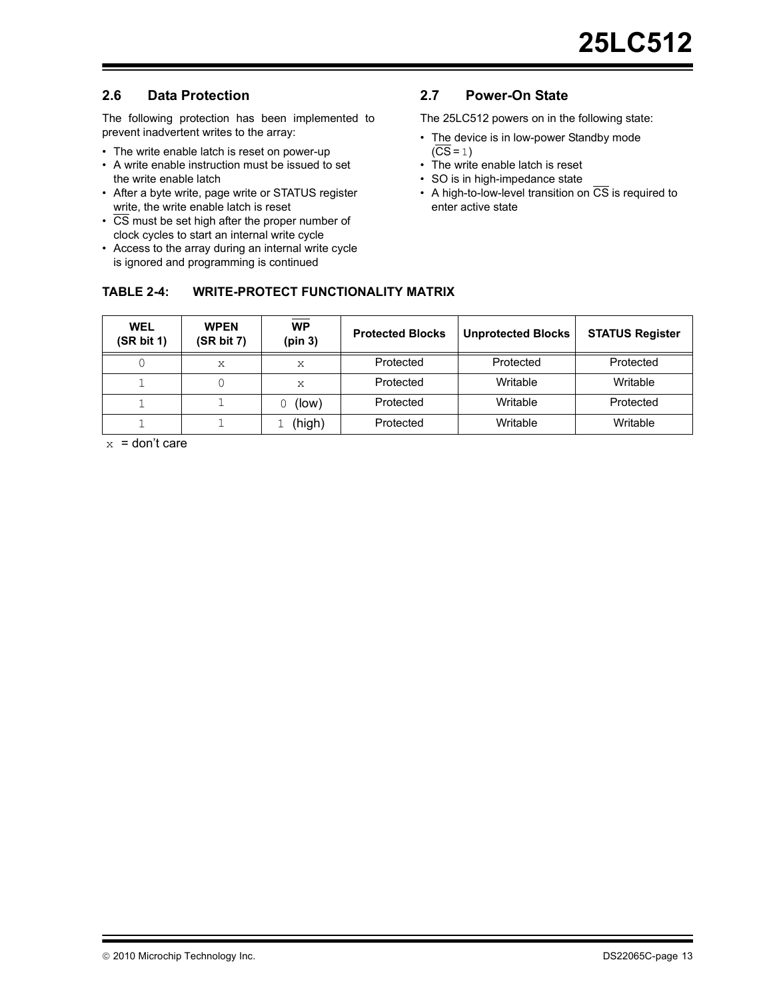### **2.6 Data Protection**

The following protection has been implemented to prevent inadvertent writes to the array:

- The write enable latch is reset on power-up
- A write enable instruction must be issued to set the write enable latch
- After a byte write, page write or STATUS register write, the write enable latch is reset
- $\overline{\text{CS}}$  must be set high after the proper number of clock cycles to start an internal write cycle
- Access to the array during an internal write cycle is ignored and programming is continued

### **2.7 Power-On State**

The 25LC512 powers on in the following state:

- The device is in low-power Standby mode  $(\overline{CS} = 1)$
- The write enable latch is reset
- SO is in high-impedance state
- A high-to-low-level transition on  $\overline{CS}$  is required to enter active state

### <span id="page-12-0"></span>**TABLE 2-4: WRITE-PROTECT FUNCTIONALITY MATRIX**

| <b>WEL</b><br>(SR bit 1) | <b>WPEN</b><br>(SR bit 7) | <b>WP</b><br>(pin 3) | <b>Protected Blocks</b> | <b>Unprotected Blocks</b> | <b>STATUS Register</b> |
|--------------------------|---------------------------|----------------------|-------------------------|---------------------------|------------------------|
|                          | X                         | X                    | Protected               | Protected                 | Protected              |
|                          |                           | X                    | Protected               | Writable                  | Writable               |
|                          |                           | (low)                | Protected               | Writable                  | Protected              |
|                          |                           | (high)               | Protected               | Writable                  | Writable               |

 $x =$  don't care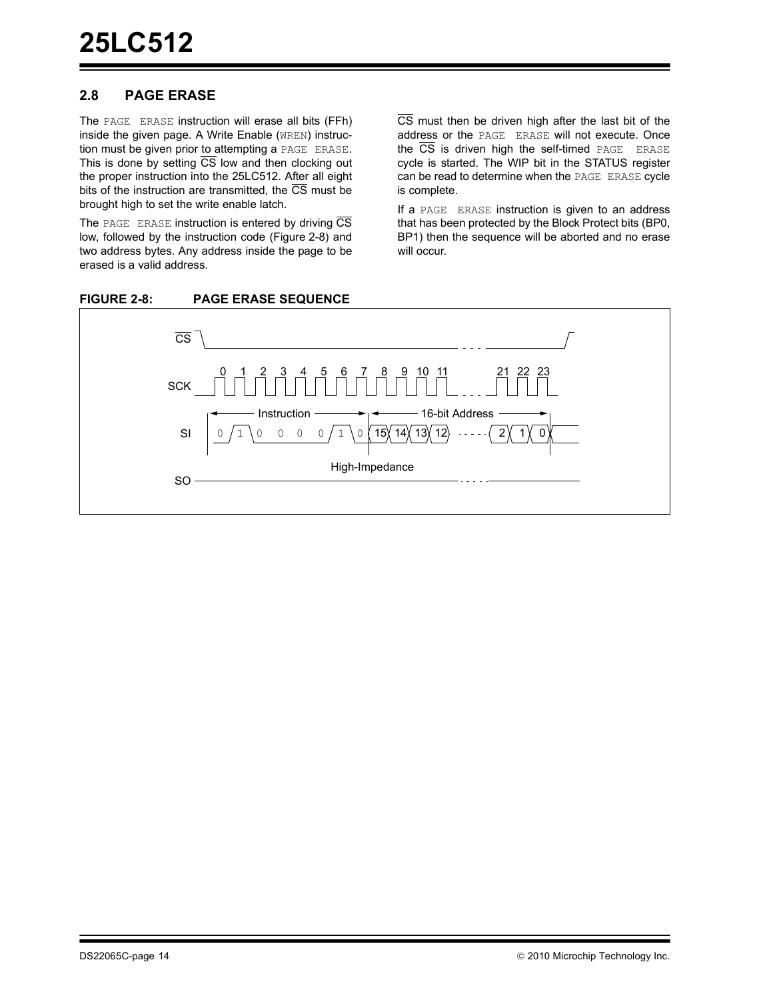### **2.8 PAGE ERASE**

The PAGE ERASE instruction will erase all bits (FFh) inside the given page. A Write Enable (WREN) instruction must be given prior to attempting a PAGE ERASE. This is done by setting  $\overline{CS}$  low and then clocking out the proper instruction into the 25LC512. After all eight bits of the instruction are transmitted, the  $\overline{\text{CS}}$  must be brought high to set the write enable latch.

The PAGE ERASE instruction is entered by driving  $\overline{\text{CS}}$ low, followed by the instruction code ([Figure 2-8\)](#page-13-0) and two address bytes. Any address inside the page to be erased is a valid address.

CS must then be driven high after the last bit of the address or the PAGE ERASE will not execute. Once the  $\overline{CS}$  is driven high the self-timed PAGE ERASE cycle is started. The WIP bit in the STATUS register can be read to determine when the PAGE ERASE cycle is complete.

If a PAGE ERASE instruction is given to an address that has been protected by the Block Protect bits (BP0, BP1) then the sequence will be aborted and no erase will occur.



#### <span id="page-13-0"></span>**FIGURE 2-8: PAGE ERASE SEQUENCE**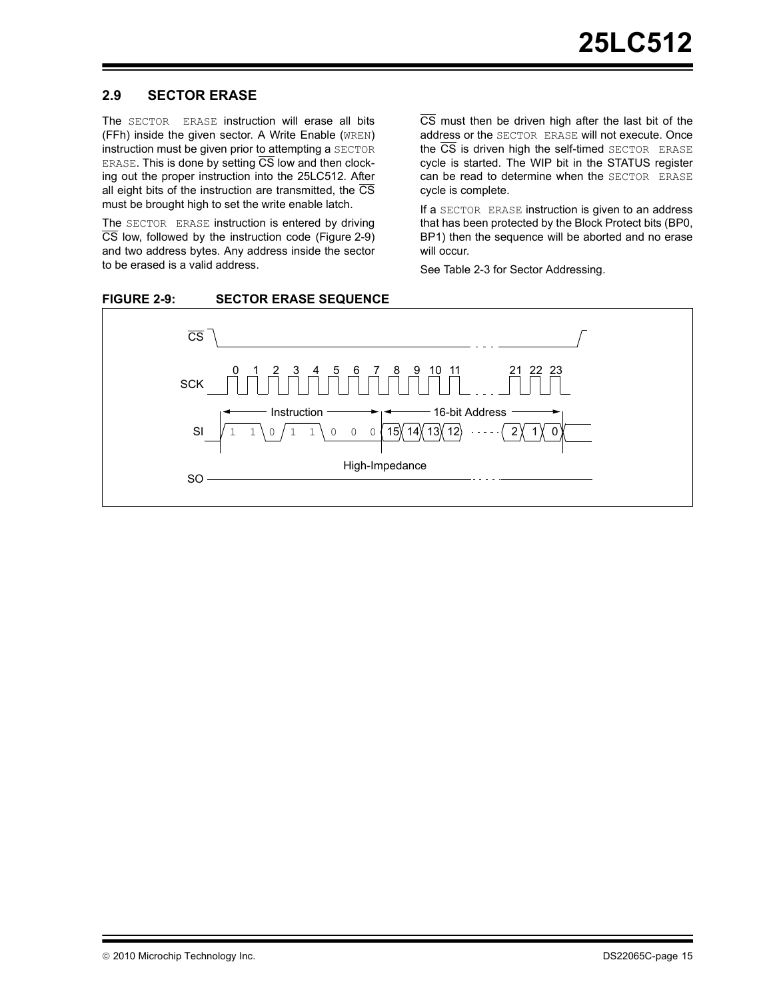### **2.9 SECTOR ERASE**

The SECTOR ERASE instruction will erase all bits (FFh) inside the given sector. A Write Enable (WREN) instruction must be given prior to attempting a SECTOR ERASE. This is done by setting  $\overline{\text{CS}}$  low and then clocking out the proper instruction into the 25LC512. After all eight bits of the instruction are transmitted, the CS must be brought high to set the write enable latch.

The SECTOR ERASE instruction is entered by driving CS low, followed by the instruction code [\(Figure 2-9\)](#page-14-0) and two address bytes. Any address inside the sector to be erased is a valid address.

CS must then be driven high after the last bit of the address or the SECTOR ERASE will not execute. Once the  $\overline{CS}$  is driven high the self-timed SECTOR ERASE cycle is started. The WIP bit in the STATUS register can be read to determine when the SECTOR ERASE cycle is complete.

If a SECTOR ERASE instruction is given to an address that has been protected by the Block Protect bits (BP0, BP1) then the sequence will be aborted and no erase will occur.

See [Table 2-3](#page-11-0) for Sector Addressing.



#### <span id="page-14-0"></span>**FIGURE 2-9: SECTOR ERASE SEQUENCE**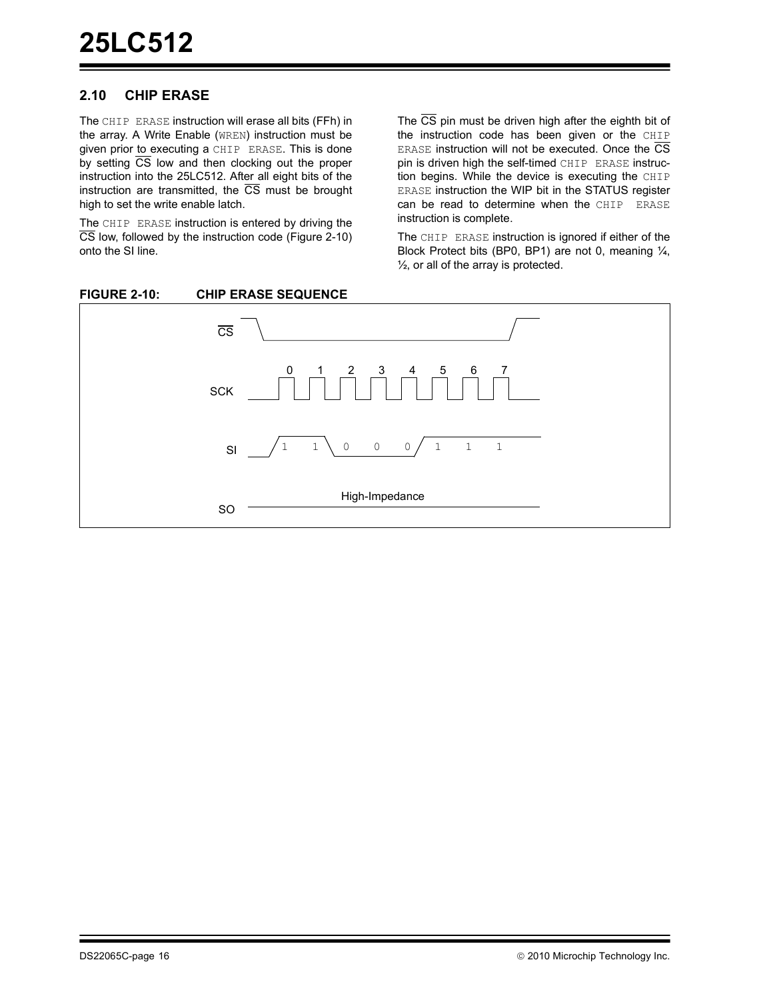### **2.10 CHIP ERASE**

The CHIP ERASE instruction will erase all bits (FFh) in the array. A Write Enable (WREN) instruction must be given prior to executing a CHIP ERASE. This is done by setting  $\overline{CS}$  low and then clocking out the proper instruction into the 25LC512. After all eight bits of the instruction are transmitted, the  $\overline{CS}$  must be brought high to set the write enable latch.

The CHIP ERASE instruction is entered by driving the CS low, followed by the instruction code ([Figure 2-10\)](#page-15-0) onto the SI line.

<span id="page-15-0"></span>**FIGURE 2-10: CHIP ERASE SEQUENCE**

The  $\overline{\text{CS}}$  pin must be driven high after the eighth bit of the instruction code has been given or the CHIP ERASE instruction will not be executed. Once the  $\overline{\text{CS}}$ pin is driven high the self-timed CHIP ERASE instruction begins. While the device is executing the CHIP ERASE instruction the WIP bit in the STATUS register can be read to determine when the CHIP ERASE instruction is complete.

The CHIP ERASE instruction is ignored if either of the Block Protect bits (BP0, BP1) are not 0, meaning ¼, ½, or all of the array is protected.

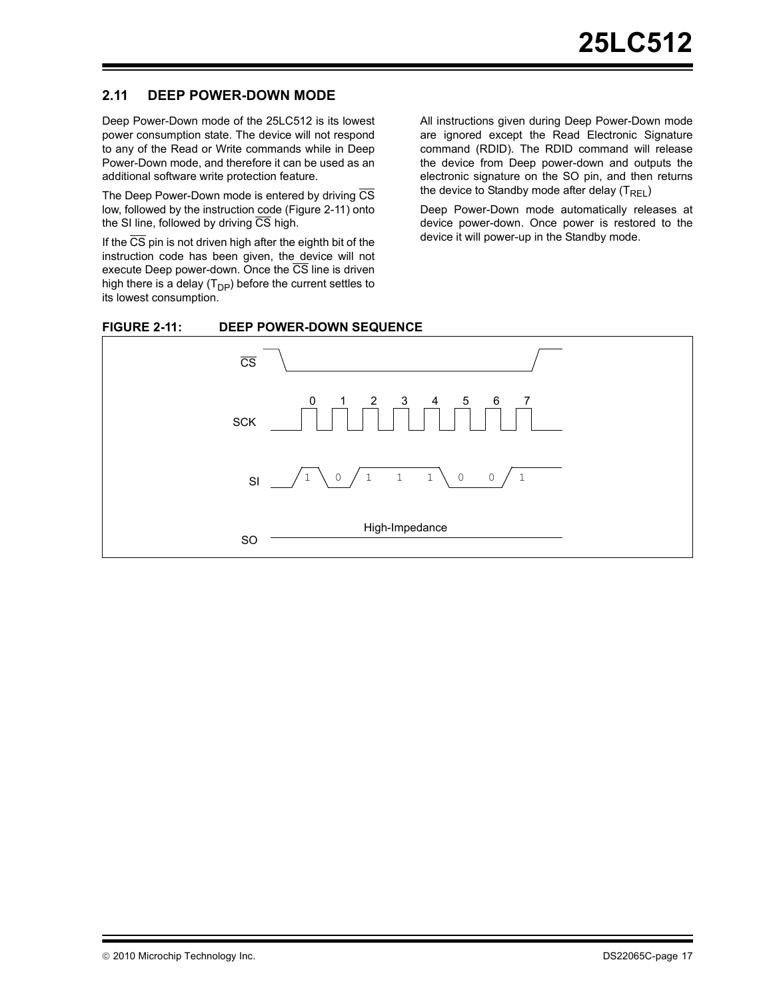### **2.11 DEEP POWER-DOWN MODE**

Deep Power-Down mode of the 25LC512 is its lowest power consumption state. The device will not respond to any of the Read or Write commands while in Deep Power-Down mode, and therefore it can be used as an additional software write protection feature.

The Deep Power-Down mode is entered by driving CS low, followed by the instruction code ([Figure 2-11](#page-16-0)) onto the SI line, followed by driving  $\overline{\text{CS}}$  high.

If the  $\overline{CS}$  pin is not driven high after the eighth bit of the instruction code has been given, the device will not execute Deep power-down. Once the CS line is driven high there is a delay  $(T_{DP})$  before the current settles to its lowest consumption.

All instructions given during Deep Power-Down mode are ignored except the Read Electronic Signature command (RDID). The RDID command will release the device from Deep power-down and outputs the electronic signature on the SO pin, and then returns the device to Standby mode after delay  $(T_{RFI})$ 

Deep Power-Down mode automatically releases at device power-down. Once power is restored to the device it will power-up in the Standby mode.

<span id="page-16-0"></span>

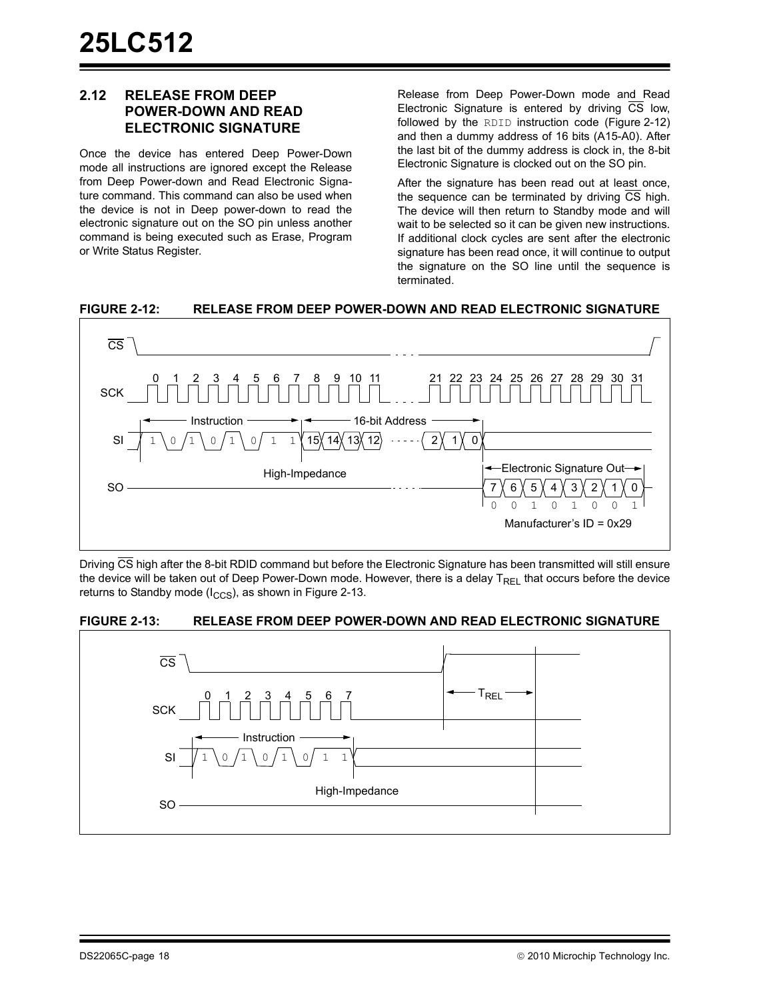### **2.12 RELEASE FROM DEEP POWER-DOWN AND READ ELECTRONIC SIGNATURE**

Once the device has entered Deep Power-Down mode all instructions are ignored except the Release from Deep Power-down and Read Electronic Signature command. This command can also be used when the device is not in Deep power-down to read the electronic signature out on the SO pin unless another command is being executed such as Erase, Program or Write Status Register.

Release from Deep Power-Down mode and Read Electronic Signature is entered by driving  $\overline{CS}$  low, followed by the RDID instruction code [\(Figure 2-12](#page-17-1)) and then a dummy address of 16 bits (A15-A0). After the last bit of the dummy address is clock in, the 8-bit Electronic Signature is clocked out on the SO pin.

After the signature has been read out at least once, the sequence can be terminated by driving  $\overline{CS}$  high. The device will then return to Standby mode and will wait to be selected so it can be given new instructions. If additional clock cycles are sent after the electronic signature has been read once, it will continue to output the signature on the SO line until the sequence is terminated.

<span id="page-17-1"></span>**FIGURE 2-12: RELEASE FROM DEEP POWER-DOWN AND READ ELECTRONIC SIGNATURE**



Driving CS high after the 8-bit RDID command but before the Electronic Signature has been transmitted will still ensure the device will be taken out of Deep Power-Down mode. However, there is a delay  $T_{RF}$  that occurs before the device returns to Standby mode  $(I_{CCS})$ , as shown in [Figure 2-13.](#page-17-0)

#### <span id="page-17-0"></span>**FIGURE 2-13: RELEASE FROM DEEP POWER-DOWN AND READ ELECTRONIC SIGNATURE**

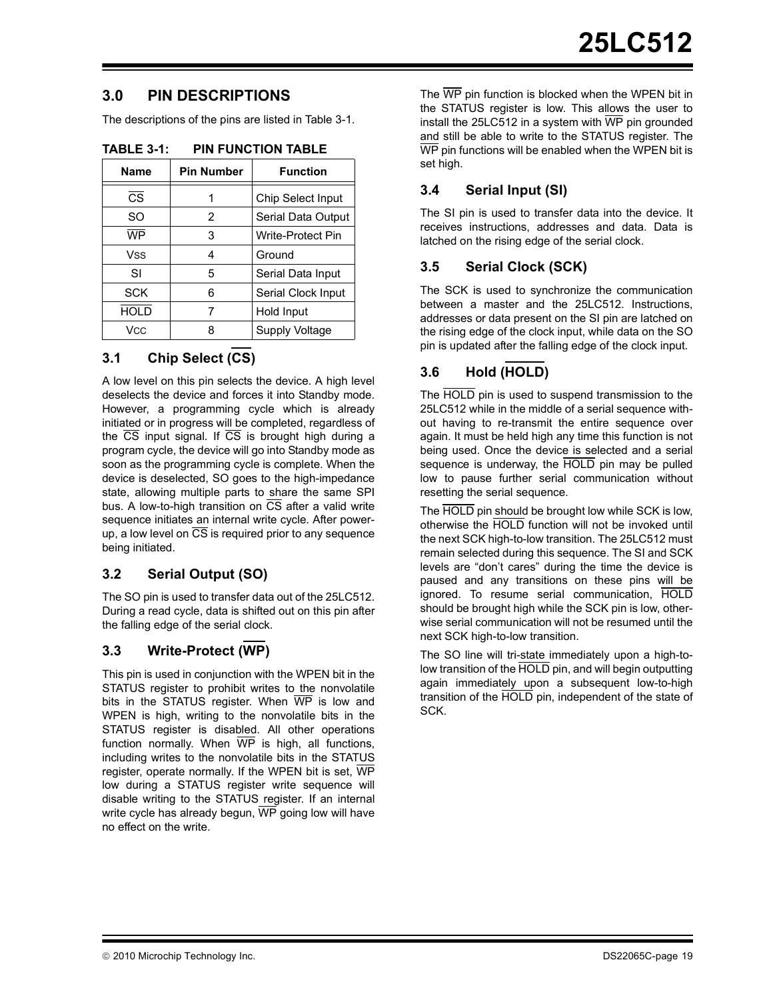### **3.0 PIN DESCRIPTIONS**

The descriptions of the pins are listed in [Table 3-1.](#page-18-0)

| <b>Name</b>            | <b>Pin Number</b> | <b>Function</b>    |
|------------------------|-------------------|--------------------|
| $\overline{\text{CS}}$ |                   | Chip Select Input  |
| <b>SO</b>              | $\overline{2}$    | Serial Data Output |
| <b>WP</b>              | 3                 | Write-Protect Pin  |
| Vss                    | 4                 | Ground             |
| SI                     | 5                 | Serial Data Input  |
| <b>SCK</b>             | 6                 | Serial Clock Input |
| <b>HOLD</b>            | 7                 | Hold Input         |
| Vcc                    | 8                 | Supply Voltage     |

<span id="page-18-0"></span>

| TABLE 3-1: | <b>PIN FUNCTION TABLE</b> |
|------------|---------------------------|
|            |                           |

### **3.1 Chip Select (CS)**

A low level on this pin selects the device. A high level deselects the device and forces it into Standby mode. However, a programming cycle which is already initiated or in progress will be completed, regardless of the  $\overline{CS}$  input signal. If  $\overline{CS}$  is brought high during a program cycle, the device will go into Standby mode as soon as the programming cycle is complete. When the device is deselected, SO goes to the high-impedance state, allowing multiple parts to share the same SPI bus. A low-to-high transition on  $\overline{CS}$  after a valid write sequence initiates an internal write cycle. After powerup, a low level on  $\overline{CS}$  is required prior to any sequence being initiated.

### **3.2 Serial Output (SO)**

The SO pin is used to transfer data out of the 25LC512. During a read cycle, data is shifted out on this pin after the falling edge of the serial clock.

### **3.3 Write-Protect (WP)**

This pin is used in conjunction with the WPEN bit in the STATUS register to prohibit writes to the nonvolatile bits in the STATUS register. When WP is low and WPEN is high, writing to the nonvolatile bits in the STATUS register is disabled. All other operations function normally. When  $\overline{WP}$  is high, all functions, including writes to the nonvolatile bits in the STATUS register, operate normally. If the WPEN bit is set, WP low during a STATUS register write sequence will disable writing to the STATUS register. If an internal write cycle has already begun, WP going low will have no effect on the write.

The WP pin function is blocked when the WPEN bit in the STATUS register is low. This allows the user to install the 25LC512 in a system with  $\overline{\text{WP}}$  pin grounded and still be able to write to the STATUS register. The WP pin functions will be enabled when the WPEN bit is set high.

### **3.4 Serial Input (SI)**

The SI pin is used to transfer data into the device. It receives instructions, addresses and data. Data is latched on the rising edge of the serial clock.

### **3.5 Serial Clock (SCK)**

The SCK is used to synchronize the communication between a master and the 25LC512. Instructions, addresses or data present on the SI pin are latched on the rising edge of the clock input, while data on the SO pin is updated after the falling edge of the clock input.

### **3.6 Hold (HOLD)**

The HOLD pin is used to suspend transmission to the 25LC512 while in the middle of a serial sequence without having to re-transmit the entire sequence over again. It must be held high any time this function is not being used. Once the device is selected and a serial sequence is underway, the HOLD pin may be pulled low to pause further serial communication without resetting the serial sequence.

The HOLD pin should be brought low while SCK is low, otherwise the HOLD function will not be invoked until the next SCK high-to-low transition. The 25LC512 must remain selected during this sequence. The SI and SCK levels are "don't cares" during the time the device is paused and any transitions on these pins will be ignored. To resume serial communication, HOLD should be brought high while the SCK pin is low, otherwise serial communication will not be resumed until the next SCK high-to-low transition.

The SO line will tri-state immediately upon a high-tolow transition of the HOLD pin, and will begin outputting again immediately upon a subsequent low-to-high transition of the HOLD pin, independent of the state of SCK.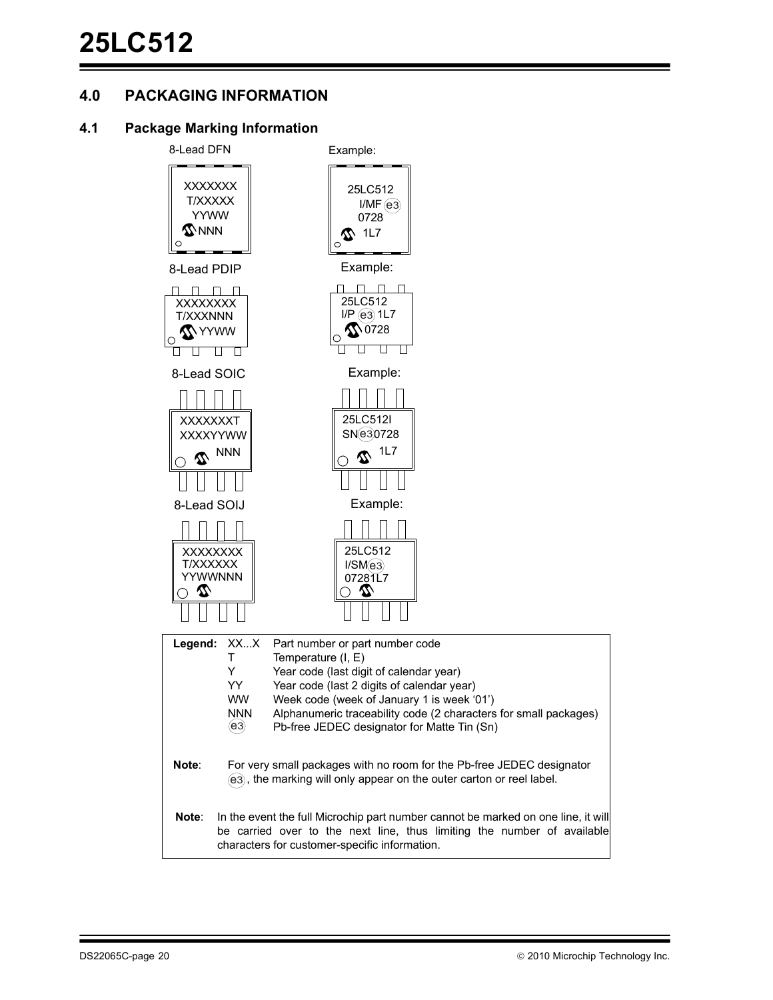### **4.0 PACKAGING INFORMATION**

### **4.1 Package Marking Information**

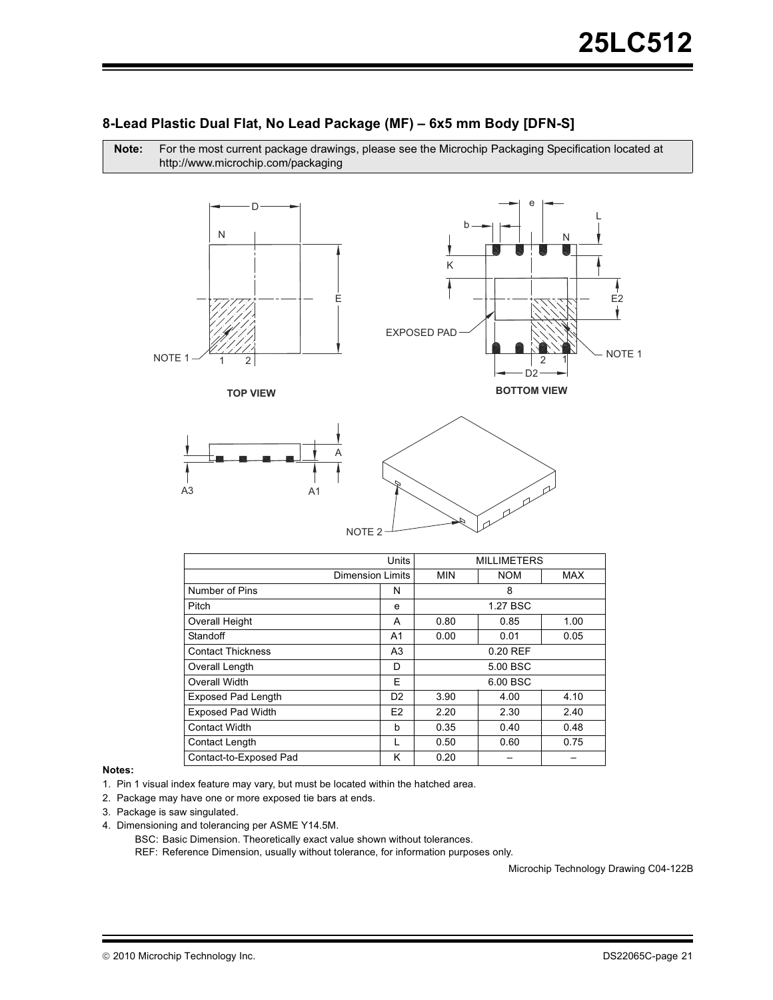

### 8-Lead Plastic Dual Flat. No Lead Package (MF) – 6x5 mm Body [DFN-S]

Note: For the most current package drawings, please see the Microchip Packaging Specification located at http://www.microchip.com/packaging

|                           | <b>Units</b>     |            | <b>MILLIMETERS</b> |      |
|---------------------------|------------------|------------|--------------------|------|
|                           | Dimension Limits | <b>MIN</b> | <b>NOM</b>         | MAX  |
| Number of Pins            | N                |            | 8                  |      |
| Pitch                     | e                |            | 1.27 BSC           |      |
| Overall Height            | A                | 0.80       | 0.85               | 1.00 |
| Standoff                  | A1               | 0.00       | 0.01               | 0.05 |
| <b>Contact Thickness</b>  | A3               | 0.20 REF   |                    |      |
| Overall Length            | D                | 5.00 BSC   |                    |      |
| Overall Width             | E                |            | 6.00 BSC           |      |
| <b>Exposed Pad Length</b> | D <sub>2</sub>   | 3.90       | 4.00               | 4.10 |
| <b>Exposed Pad Width</b>  | E <sub>2</sub>   | 2.20       | 2.30               | 2.40 |
| <b>Contact Width</b>      | h                | 0.35       | 0.40               | 0.48 |
| Contact Length            |                  | 0.50       | 0.60               | 0.75 |
| Contact-to-Exposed Pad    | Κ                | 0.20       |                    |      |

#### Notes:

- 1. Pin 1 visual index feature may vary, but must be located within the hatched area.
- 2. Package may have one or more exposed tie bars at ends.
- 3. Package is saw singulated.
- 4. Dimensioning and tolerancing per ASME Y14.5M.

BSC: Basic Dimension. Theoretically exact value shown without tolerances.

REF: Reference Dimension, usually without tolerance, for information purposes only.

Microchip Technology Drawing C04-122B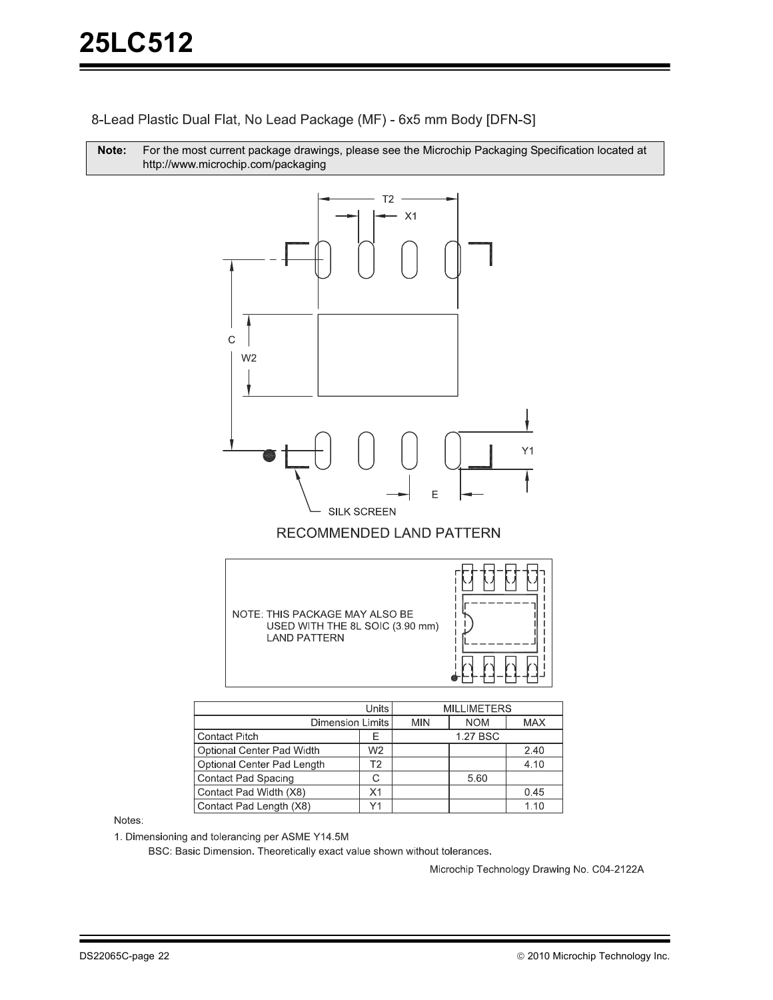8-Lead Plastic Dual Flat, No Lead Package (MF) - 6x5 mm Body [DFN-S]

Note: For the most current package drawings, please see the Microchip Packaging Specification located at http://www.microchip.com/packaging



RECOMMENDED LAND PATTERN



| Units                      |                |            | <b>MILLIMETERS</b> |            |
|----------------------------|----------------|------------|--------------------|------------|
| Dimension Limits           |                | <b>MIN</b> | <b>NOM</b>         | <b>MAX</b> |
| <b>Contact Pitch</b>       | Е              | 1.27 BSC   |                    |            |
| Optional Center Pad Width  | W <sub>2</sub> |            |                    | 2.40       |
| Optional Center Pad Length | Т2             |            |                    | 4.10       |
| <b>Contact Pad Spacing</b> |                |            | 5.60               |            |
| Contact Pad Width (X8)     | X1             |            |                    | 0.45       |
| Contact Pad Length (X8)    | ٧1             |            |                    | 1.10       |

Notes:

1. Dimensioning and tolerancing per ASME Y14.5M

BSC: Basic Dimension. Theoretically exact value shown without tolerances.

Microchip Technology Drawing No. C04-2122A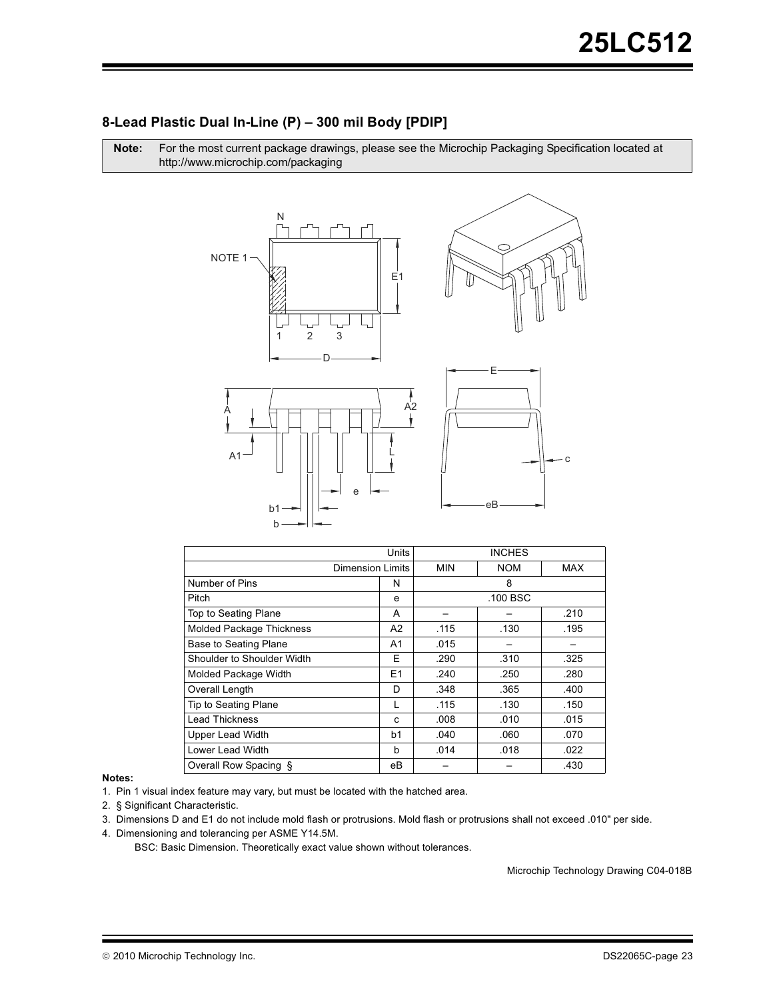

Note: For the most current package drawings, please see the Microchip Packaging Specification located at

### 8-Lead Plastic Dual In-Line (P) – 300 mil Body [PDIP]

http://www.microchip.com/packaging

|                              | Units                   |            | <b>INCHES</b> |      |
|------------------------------|-------------------------|------------|---------------|------|
|                              | <b>Dimension Limits</b> | <b>MIN</b> | <b>NOM</b>    | MAX  |
| Number of Pins               | N                       |            | 8             |      |
| Pitch                        | e                       |            | .100 BSC      |      |
| Top to Seating Plane         | A                       |            |               | .210 |
| Molded Package Thickness     | A2                      | .115       | .130          | .195 |
| <b>Base to Seating Plane</b> | A1                      | .015       |               |      |
| Shoulder to Shoulder Width   | E                       | .290       | .310          | .325 |
| Molded Package Width         | E <sub>1</sub>          | .240       | .250          | .280 |
| Overall Length               | D                       | .348       | .365          | .400 |
| Tip to Seating Plane         |                         | .115       | .130          | .150 |
| <b>Lead Thickness</b>        | C                       | .008       | .010          | .015 |
| <b>Upper Lead Width</b>      | b1                      | .040       | .060          | .070 |
| Lower Lead Width             | b                       | .014       | .018          | .022 |
| Overall Row Spacing §        | eВ                      |            |               | .430 |

#### Notes:

1. Pin 1 visual index feature may vary, but must be located with the hatched area.

2. § Significant Characteristic.

3. Dimensions D and E1 do not include mold flash or protrusions. Mold flash or protrusions shall not exceed .010" per side.

4. Dimensioning and tolerancing per ASME Y14.5M.

BSC: Basic Dimension. Theoretically exact value shown without tolerances.

Microchip Technology Drawing C04-018B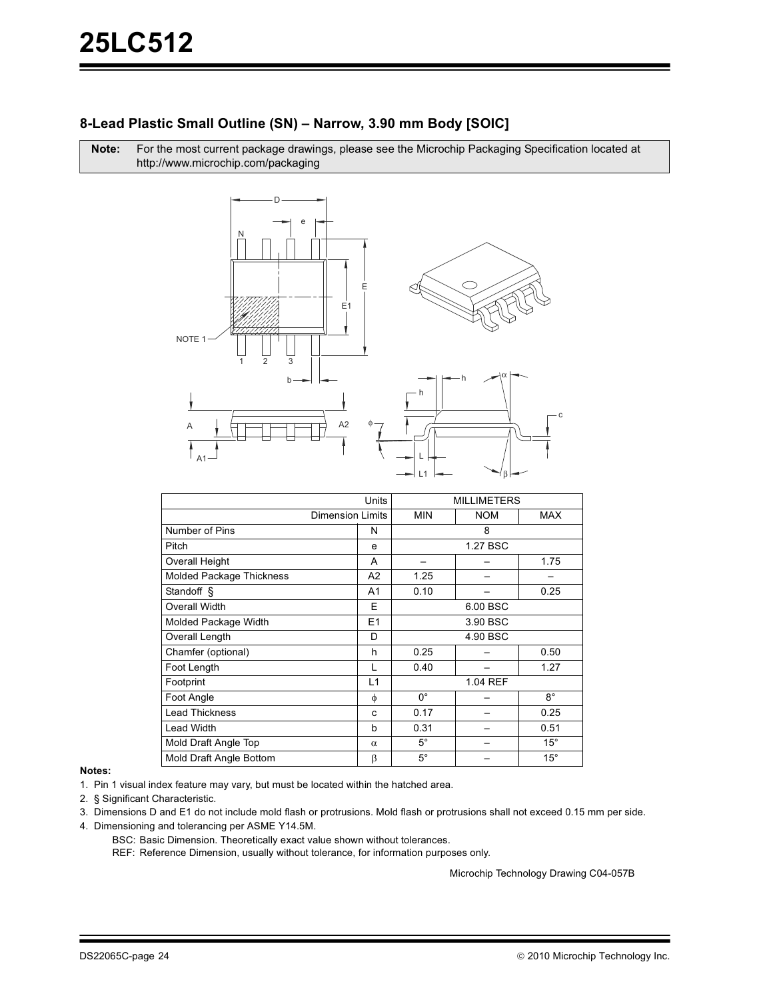### **8-Lead Plastic Small Outline (SN) – Narrow, 3.90 mm Body [SOIC]**

Note: For the most current package drawings, please see the Microchip Packaging Specification located at http://www.microchip.com/packaging



|                                 | Units                   |             | <b>MILLIMETERS</b> |              |  |
|---------------------------------|-------------------------|-------------|--------------------|--------------|--|
|                                 | <b>Dimension Limits</b> | <b>MIN</b>  | <b>NOM</b>         | MAX          |  |
| Number of Pins                  | N                       |             | 8                  |              |  |
| Pitch                           | e                       |             | 1.27 BSC           |              |  |
| Overall Height                  | A                       |             |                    | 1.75         |  |
| <b>Molded Package Thickness</b> | A <sub>2</sub>          | 1.25        |                    |              |  |
| Standoff §                      | A <sub>1</sub>          | 0.10        |                    | 0.25         |  |
| Overall Width                   | E                       | 6.00 BSC    |                    |              |  |
| Molded Package Width            | E1                      | 3.90 BSC    |                    |              |  |
| Overall Length                  | D                       | 4.90 BSC    |                    |              |  |
| Chamfer (optional)              | h                       | 0.25        |                    | 0.50         |  |
| Foot Length                     | L                       | 0.40        |                    | 1.27         |  |
| Footprint                       | L1                      |             | 1.04 REF           |              |  |
| Foot Angle                      | $\phi$                  | $0^{\circ}$ |                    | $8^\circ$    |  |
| <b>Lead Thickness</b>           | C                       | 0.17        |                    | 0.25         |  |
| <b>Lead Width</b>               | b                       | 0.31        |                    | 0.51         |  |
| Mold Draft Angle Top            | $\alpha$                | $5^{\circ}$ |                    | $15^{\circ}$ |  |
| Mold Draft Angle Bottom         | β                       | $5^{\circ}$ |                    | $15^{\circ}$ |  |

#### Notes:

1. Pin 1 visual index feature may vary, but must be located within the hatched area.

2. § Significant Characteristic.

3. Dimensions D and E1 do not include mold flash or protrusions. Mold flash or protrusions shall not exceed 0.15 mm per side.

- 4. Dimensioning and tolerancing per ASME Y14.5M.
	- BSC: Basic Dimension. Theoretically exact value shown without tolerances.

REF: Reference Dimension, usually without tolerance, for information purposes only.

Microchip Technology Drawing C04-057B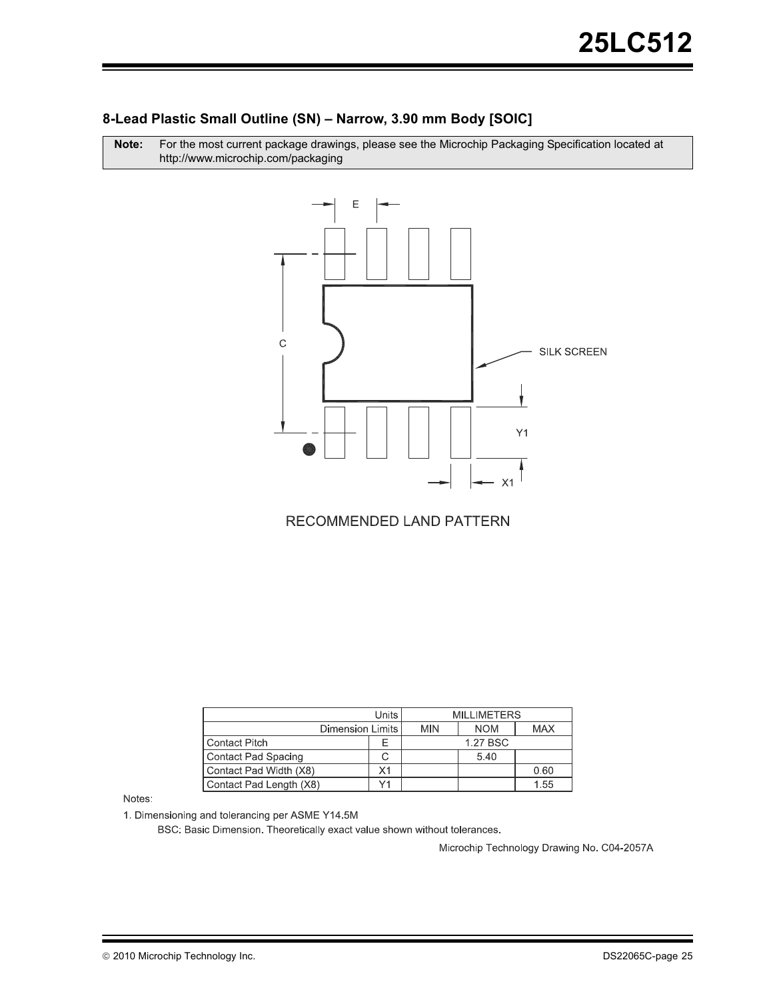### **8-Lead Plastic Small Outline (SN) – Narrow, 3.90 mm Body [SOIC]**

Note: For the most current package drawings, please see the Microchip Packaging Specification located at http://www.microchip.com/packaging



RECOMMENDED LAND PATTERN

| <b>Units</b>            |    |            | <b>MILLIMETERS</b> |            |
|-------------------------|----|------------|--------------------|------------|
| Dimension Limits        |    | <b>MIN</b> | <b>NOM</b>         | <b>MAX</b> |
| <b>Contact Pitch</b>    |    |            | 1.27 BSC           |            |
| Contact Pad Spacing     |    |            | 5.40               |            |
| Contact Pad Width (X8)  | Χ1 |            |                    | 0.60       |
| Contact Pad Length (X8) |    |            |                    | 1.55       |

Notes:

1. Dimensioning and tolerancing per ASME Y14.5M

BSC: Basic Dimension. Theoretically exact value shown without tolerances.

Microchip Technology Drawing No. C04-2057A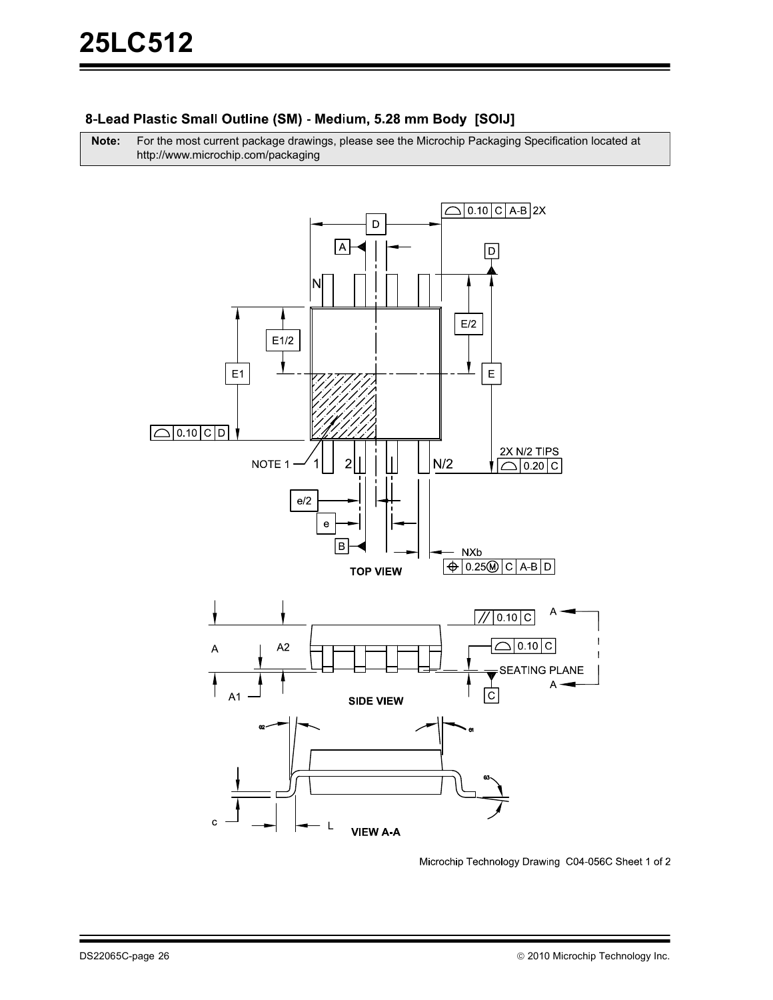### 8-Lead Plastic Small Outline (SM) - Medium, 5.28 mm Body [SOIJ]

**Note:** For the most current package drawings, please see the Microchip Packaging Specification located at http://www.microchip.com/packaging



Microchip Technology Drawing C04-056C Sheet 1 of 2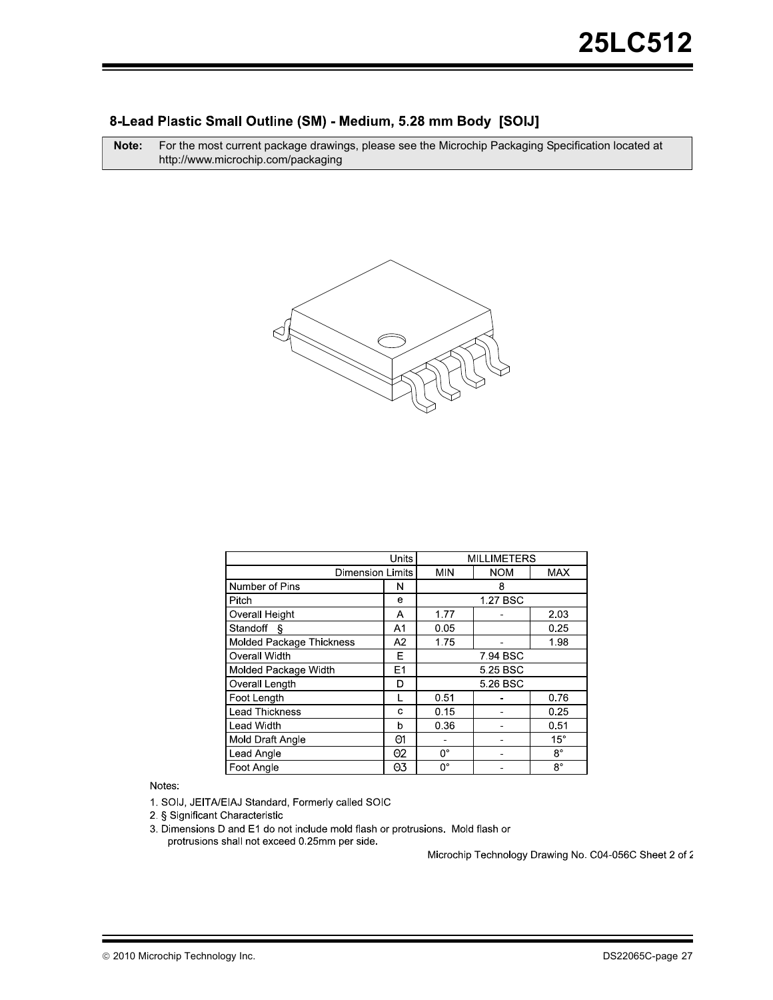### 8-Lead Plastic Small Outline (SM) - Medium, 5.28 mm Body [SOIJ]

**Note:** For the most current package drawings, please see the Microchip Packaging Specification located at http://www.microchip.com/packaging



|                          |    | <b>MILLIMETERS</b> |            |             |
|--------------------------|----|--------------------|------------|-------------|
| <b>Dimension Limits</b>  |    | <b>MIN</b>         | <b>NOM</b> | <b>MAX</b>  |
| Number of Pins           | N  |                    | 8          |             |
| Pitch                    | е  |                    | 1.27 BSC   |             |
| <b>Overall Height</b>    | A  | 1.77               |            | 2.03        |
| Standoff §               | A1 | 0.05               |            | 0.25        |
| Molded Package Thickness | A2 | 1.75               |            | 1.98        |
| Overall Width            | Е  | 7 94 BSC           |            |             |
| Molded Package Width     | E1 | 5.25 BSC           |            |             |
| Overall Length           | D  | 5.26 BSC           |            |             |
| Foot Length              |    | 0.51               |            | 0.76        |
| <b>Lead Thickness</b>    | c  | 0.15               |            | 0.25        |
| <b>Lead Width</b>        | b  | 0.36               |            | 0.51        |
| Mold Draft Angle         | Θ1 |                    |            | $15^\circ$  |
| Lead Angle               | Θ2 | 0°                 |            | $8^{\circ}$ |
| Foot Angle               | Θ3 | 0°                 |            | $8^{\circ}$ |

Notes:

1. SOIJ, JEITA/EIAJ Standard, Formerly called SOIC

2. § Significant Characteristic

3. Dimensions D and E1 do not include mold flash or protrusions. Mold flash or protrusions shall not exceed 0.25mm per side.

Microchip Technology Drawing No. C04-056C Sheet 2 of 2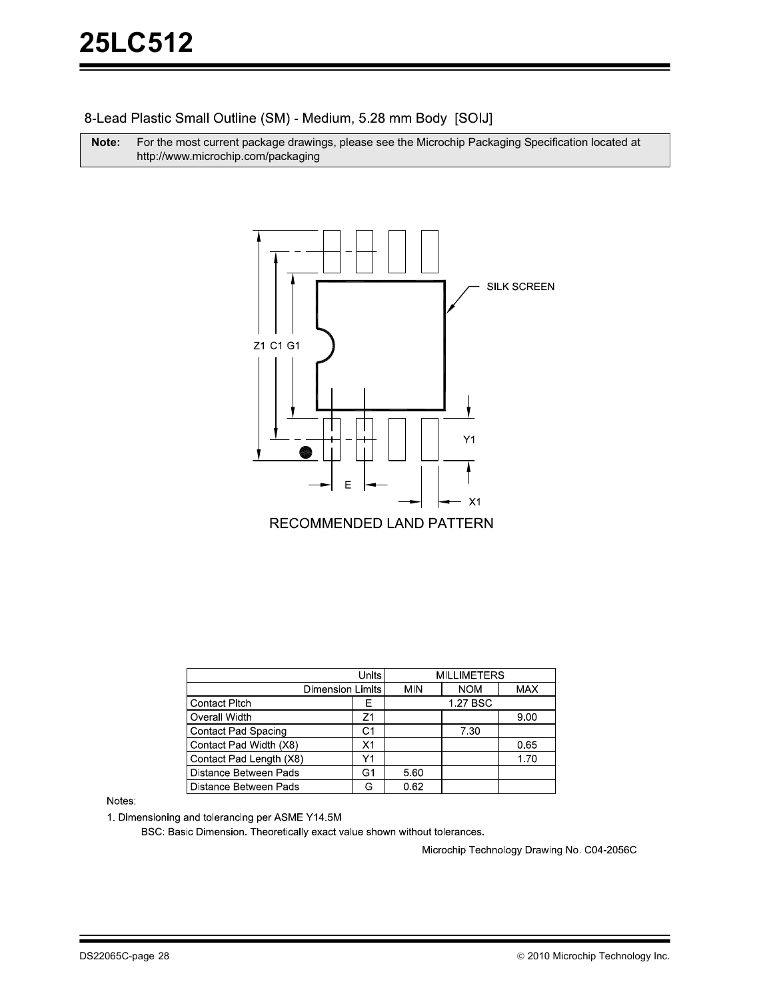8-Lead Plastic Small Outline (SM) - Medium, 5.28 mm Body [SOIJ]

**Note:** For the most current package drawings, please see the Microchip Packaging Specification located at http://www.microchip.com/packaging



| Units                      |    |            | <b>MILLIMETERS</b> |            |
|----------------------------|----|------------|--------------------|------------|
| Dimension Limits           |    | <b>MIN</b> | <b>NOM</b>         | <b>MAX</b> |
| <b>Contact Pitch</b><br>Е  |    |            | 1.27 BSC           |            |
| Overall Width              | 71 |            |                    | 9.00       |
| <b>Contact Pad Spacing</b> | С1 |            | 7.30               |            |
| Contact Pad Width (X8)     | X1 |            |                    | 0.65       |
| Contact Pad Length (X8)    | Υ1 |            |                    | 1.70       |
| Distance Between Pads      | G1 | 5.60       |                    |            |
| Distance Between Pads      | G  | 0.62       |                    |            |

#### Notes:

1. Dimensioning and tolerancing per ASME Y14.5M

BSC: Basic Dimension. Theoretically exact value shown without tolerances.

Microchip Technology Drawing No. C04-2056C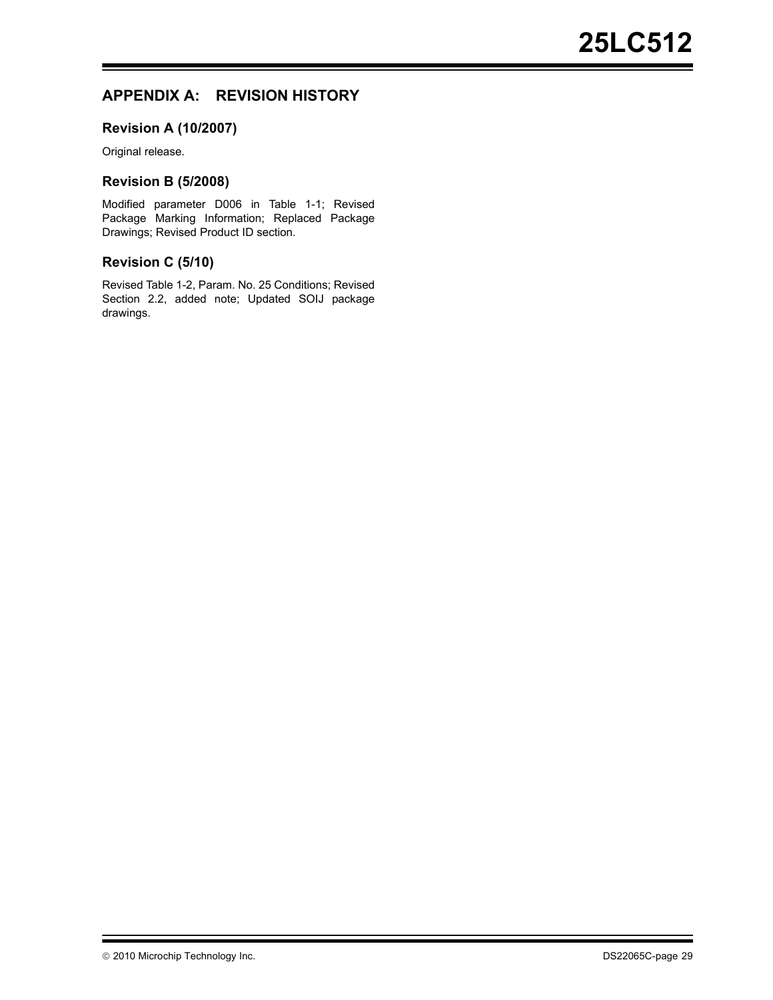### **APPENDIX A: REVISION HISTORY**

#### **Revision A (10/2007)**

Original release.

#### **Revision B (5/2008)**

Modified parameter D006 in Table 1-1; Revised Package Marking Information; Replaced Package Drawings; Revised Product ID section.

#### **Revision C (5/10)**

Revised Table 1-2, Param. No. 25 Conditions; Revised Section 2.2, added note; Updated SOIJ package drawings.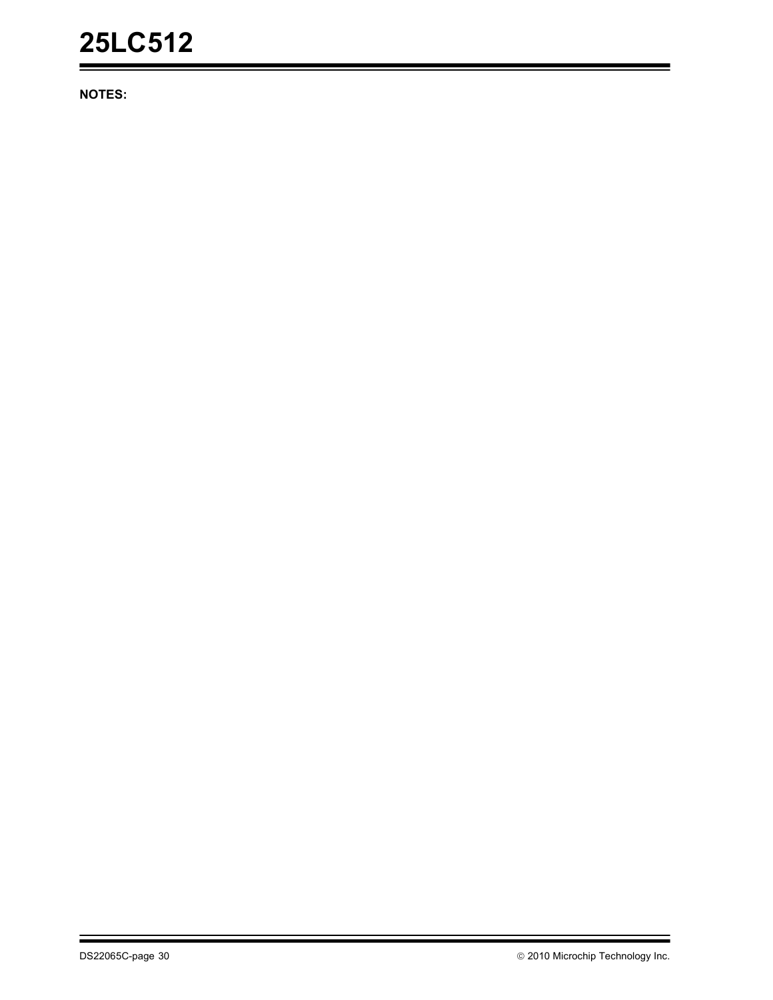**NOTES:**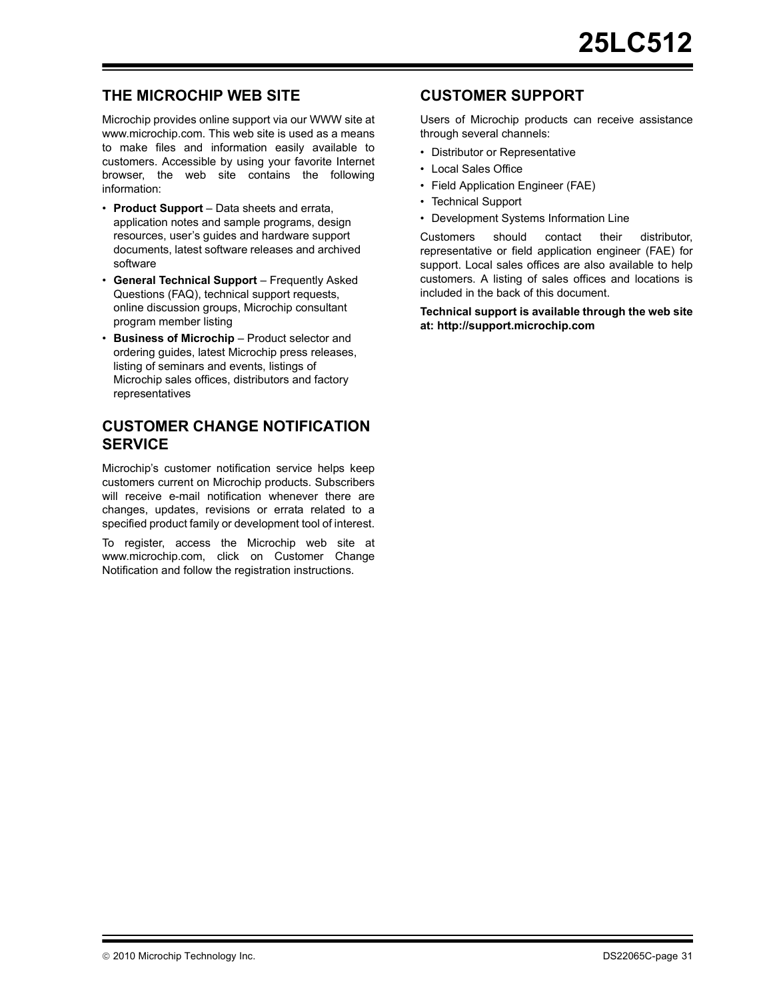### **THE MICROCHIP WEB SITE**

Microchip provides online support via our WWW site at www.microchip.com. This web site is used as a means to make files and information easily available to customers. Accessible by using your favorite Internet browser, the web site contains the following information:

- **Product Support** Data sheets and errata, application notes and sample programs, design resources, user's guides and hardware support documents, latest software releases and archived software
- **General Technical Support** Frequently Asked Questions (FAQ), technical support requests, online discussion groups, Microchip consultant program member listing
- **Business of Microchip** Product selector and ordering guides, latest Microchip press releases, listing of seminars and events, listings of Microchip sales offices, distributors and factory representatives

### **CUSTOMER CHANGE NOTIFICATION SERVICE**

Microchip's customer notification service helps keep customers current on Microchip products. Subscribers will receive e-mail notification whenever there are changes, updates, revisions or errata related to a specified product family or development tool of interest.

To register, access the Microchip web site at www.microchip.com, click on Customer Change Notification and follow the registration instructions.

### **CUSTOMER SUPPORT**

Users of Microchip products can receive assistance through several channels:

- Distributor or Representative
- Local Sales Office
- Field Application Engineer (FAE)
- Technical Support
- Development Systems Information Line

Customers should contact their distributor, representative or field application engineer (FAE) for support. Local sales offices are also available to help customers. A listing of sales offices and locations is included in the back of this document.

**Technical support is available through the web site at: http://support.microchip.com**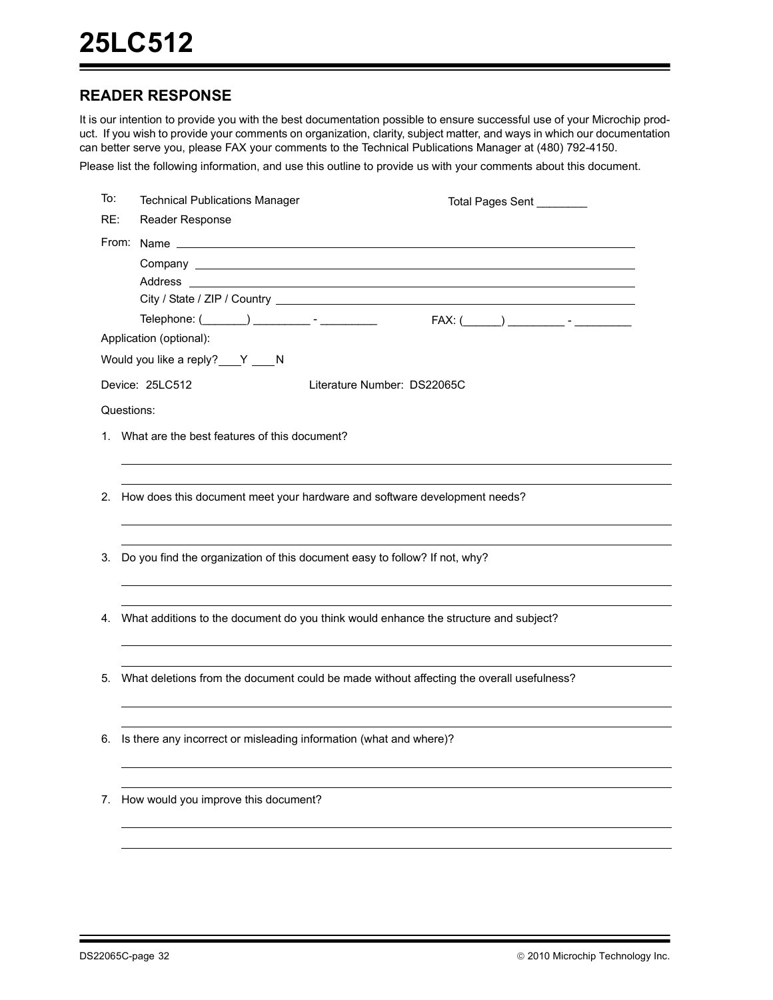### **READER RESPONSE**

It is our intention to provide you with the best documentation possible to ensure successful use of your Microchip product. If you wish to provide your comments on organization, clarity, subject matter, and ways in which our documentation can better serve you, please FAX your comments to the Technical Publications Manager at (480) 792-4150.

Please list the following information, and use this outline to provide us with your comments about this document.

| To:   | <b>Technical Publications Manager</b>                                 | Total Pages Sent ________                                                                                                                                                                  |
|-------|-----------------------------------------------------------------------|--------------------------------------------------------------------------------------------------------------------------------------------------------------------------------------------|
| RE:   | Reader Response                                                       |                                                                                                                                                                                            |
| From: |                                                                       |                                                                                                                                                                                            |
|       |                                                                       |                                                                                                                                                                                            |
|       |                                                                       | Address <b>Address Address Address Address Address Address Address Address Address Address Address Address Address Address Address Address Address Address Address Address Address Add</b> |
|       |                                                                       |                                                                                                                                                                                            |
|       |                                                                       | Telephone: (_______) ___________ - ___________    FAX: (_____) __________ - __________                                                                                                     |
|       | Application (optional):                                               |                                                                                                                                                                                            |
|       | Would you like a reply? $Y \_ N$                                      |                                                                                                                                                                                            |
|       | Device: 25LC512                                                       | Literature Number: DS22065C                                                                                                                                                                |
|       | Questions:                                                            |                                                                                                                                                                                            |
|       | 1. What are the best features of this document?                       |                                                                                                                                                                                            |
|       |                                                                       |                                                                                                                                                                                            |
|       |                                                                       |                                                                                                                                                                                            |
|       |                                                                       | 2. How does this document meet your hardware and software development needs?                                                                                                               |
|       |                                                                       |                                                                                                                                                                                            |
|       |                                                                       |                                                                                                                                                                                            |
| 3.    |                                                                       | Do you find the organization of this document easy to follow? If not, why?                                                                                                                 |
|       |                                                                       |                                                                                                                                                                                            |
|       |                                                                       |                                                                                                                                                                                            |
|       |                                                                       | 4. What additions to the document do you think would enhance the structure and subject?                                                                                                    |
|       |                                                                       |                                                                                                                                                                                            |
|       |                                                                       |                                                                                                                                                                                            |
| 5.    |                                                                       | What deletions from the document could be made without affecting the overall usefulness?                                                                                                   |
|       |                                                                       |                                                                                                                                                                                            |
|       |                                                                       |                                                                                                                                                                                            |
|       | 6. Is there any incorrect or misleading information (what and where)? |                                                                                                                                                                                            |
|       |                                                                       |                                                                                                                                                                                            |
| 7.    | How would you improve this document?                                  |                                                                                                                                                                                            |
|       |                                                                       |                                                                                                                                                                                            |
|       |                                                                       |                                                                                                                                                                                            |
|       |                                                                       |                                                                                                                                                                                            |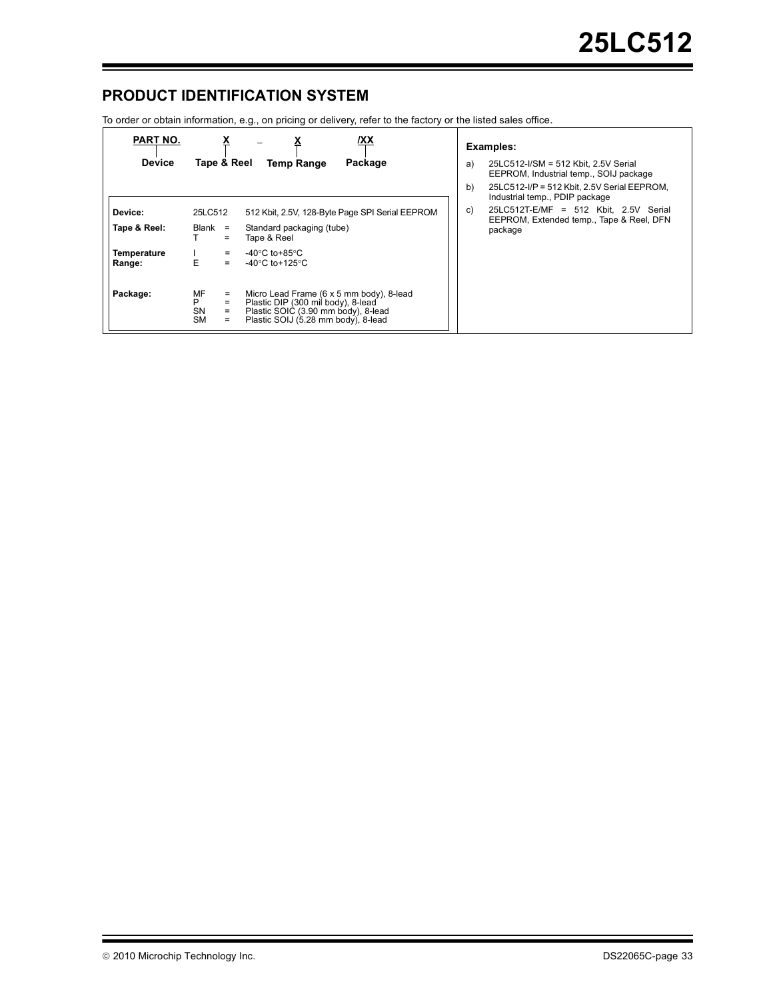### **PRODUCT IDENTIFICATION SYSTEM**

To order or obtain information, e.g., on pricing or delivery, refer to the factory or the listed sales office.

| PART NO.                     | IXX<br><u>x</u>                                                                                                                                                                                                               | <b>Examples:</b>                                                                                                                                                            |
|------------------------------|-------------------------------------------------------------------------------------------------------------------------------------------------------------------------------------------------------------------------------|-----------------------------------------------------------------------------------------------------------------------------------------------------------------------------|
| <b>Device</b>                | Tape & Reel<br><b>Temp Range</b><br>Package                                                                                                                                                                                   | 25LC512-I/SM = 512 Kbit, 2.5V Serial<br>a)<br>EEPROM, Industrial temp., SOIJ package<br>b)<br>25LC512-I/P = 512 Kbit, 2.5V Serial EEPROM,<br>Industrial temp., PDIP package |
| Device:                      | 512 Kbit, 2.5V, 128-Byte Page SPI Serial EEPROM<br>25LC512                                                                                                                                                                    | 25LC512T-E/MF = 512 Kbit, 2.5V Serial<br>C)<br>EEPROM, Extended temp., Tape & Reel, DFN                                                                                     |
| Tape & Reel:                 | Blank $=$<br>Standard packaging (tube)<br>Tape & Reel                                                                                                                                                                         | package                                                                                                                                                                     |
| <b>Temperature</b><br>Range: | -40 $^{\circ}$ C to+85 $^{\circ}$ C<br>$=$<br>E.<br>-40 $^{\circ}$ C to+125 $^{\circ}$ C<br>$=$                                                                                                                               |                                                                                                                                                                             |
| Package:                     | MF<br>Micro Lead Frame (6 x 5 mm body), 8-lead<br>$=$<br>P<br>Plastic DIP (300 mil body), 8-lead<br>$=$<br><b>SN</b><br>Plastic SOIC (3.90 mm body), 8-lead<br>$=$<br><b>SM</b><br>Plastic SOIJ (5.28 mm body), 8-lead<br>$=$ |                                                                                                                                                                             |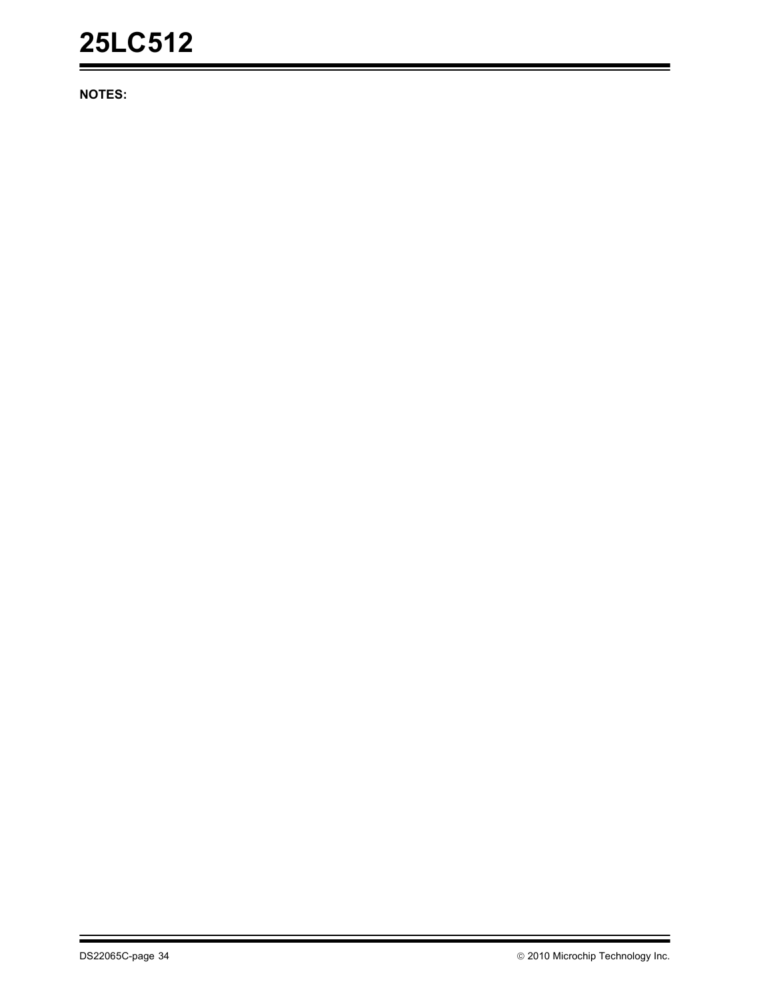**NOTES:**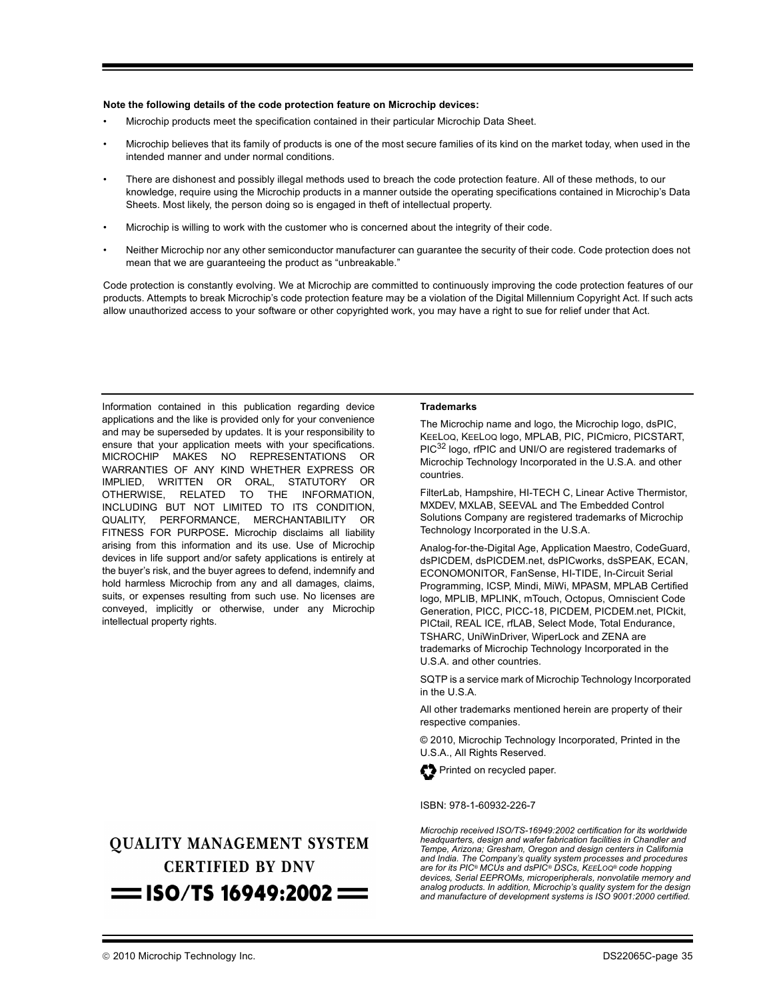#### **Note the following details of the code protection feature on Microchip devices:**

- Microchip products meet the specification contained in their particular Microchip Data Sheet.
- Microchip believes that its family of products is one of the most secure families of its kind on the market today, when used in the intended manner and under normal conditions.
- There are dishonest and possibly illegal methods used to breach the code protection feature. All of these methods, to our knowledge, require using the Microchip products in a manner outside the operating specifications contained in Microchip's Data Sheets. Most likely, the person doing so is engaged in theft of intellectual property.
- Microchip is willing to work with the customer who is concerned about the integrity of their code.
- Neither Microchip nor any other semiconductor manufacturer can guarantee the security of their code. Code protection does not mean that we are guaranteeing the product as "unbreakable."

Code protection is constantly evolving. We at Microchip are committed to continuously improving the code protection features of our products. Attempts to break Microchip's code protection feature may be a violation of the Digital Millennium Copyright Act. If such acts allow unauthorized access to your software or other copyrighted work, you may have a right to sue for relief under that Act.

Information contained in this publication regarding device applications and the like is provided only for your convenience and may be superseded by updates. It is your responsibility to ensure that your application meets with your specifications. MICROCHIP MAKES NO REPRESENTATIONS OR WARRANTIES OF ANY KIND WHETHER EXPRESS OR IMPLIED, WRITTEN OR ORAL, STATUTORY OR OTHERWISE, RELATED TO THE INFORMATION, INCLUDING BUT NOT LIMITED TO ITS CONDITION, QUALITY, PERFORMANCE, MERCHANTABILITY OR FITNESS FOR PURPOSE**.** Microchip disclaims all liability arising from this information and its use. Use of Microchip devices in life support and/or safety applications is entirely at the buyer's risk, and the buyer agrees to defend, indemnify and hold harmless Microchip from any and all damages, claims, suits, or expenses resulting from such use. No licenses are conveyed, implicitly or otherwise, under any Microchip intellectual property rights.

# **QUALITY MANAGEMENT SYSTEM CERTIFIED BY DNV**  $=$  ISO/TS 16949:2002  $=$

#### **Trademarks**

The Microchip name and logo, the Microchip logo, dsPIC, KEELOQ, KEELOQ logo, MPLAB, PIC, PICmicro, PICSTART, PIC<sup>32</sup> logo, rfPIC and UNI/O are registered trademarks of Microchip Technology Incorporated in the U.S.A. and other countries.

FilterLab, Hampshire, HI-TECH C, Linear Active Thermistor, MXDEV, MXLAB, SEEVAL and The Embedded Control Solutions Company are registered trademarks of Microchip Technology Incorporated in the U.S.A.

Analog-for-the-Digital Age, Application Maestro, CodeGuard, dsPICDEM, dsPICDEM.net, dsPICworks, dsSPEAK, ECAN, ECONOMONITOR, FanSense, HI-TIDE, In-Circuit Serial Programming, ICSP, Mindi, MiWi, MPASM, MPLAB Certified logo, MPLIB, MPLINK, mTouch, Octopus, Omniscient Code Generation, PICC, PICC-18, PICDEM, PICDEM.net, PICkit, PICtail, REAL ICE, rfLAB, Select Mode, Total Endurance, TSHARC, UniWinDriver, WiperLock and ZENA are trademarks of Microchip Technology Incorporated in the U.S.A. and other countries.

SQTP is a service mark of Microchip Technology Incorporated in the U.S.A.

All other trademarks mentioned herein are property of their respective companies.

© 2010, Microchip Technology Incorporated, Printed in the U.S.A., All Rights Reserved.



ISBN: 978-1-60932-226-7

*Microchip received ISO/TS-16949:2002 certification for its worldwide headquarters, design and wafer fabrication facilities in Chandler and Tempe, Arizona; Gresham, Oregon and design centers in California and India. The Company's quality system processes and procedures are for its PIC® MCUs and dsPIC® DSCs, KEELOQ® code hopping devices, Serial EEPROMs, microperipherals, nonvolatile memory and analog products. In addition, Microchip's quality system for the design and manufacture of development systems is ISO 9001:2000 certified.*